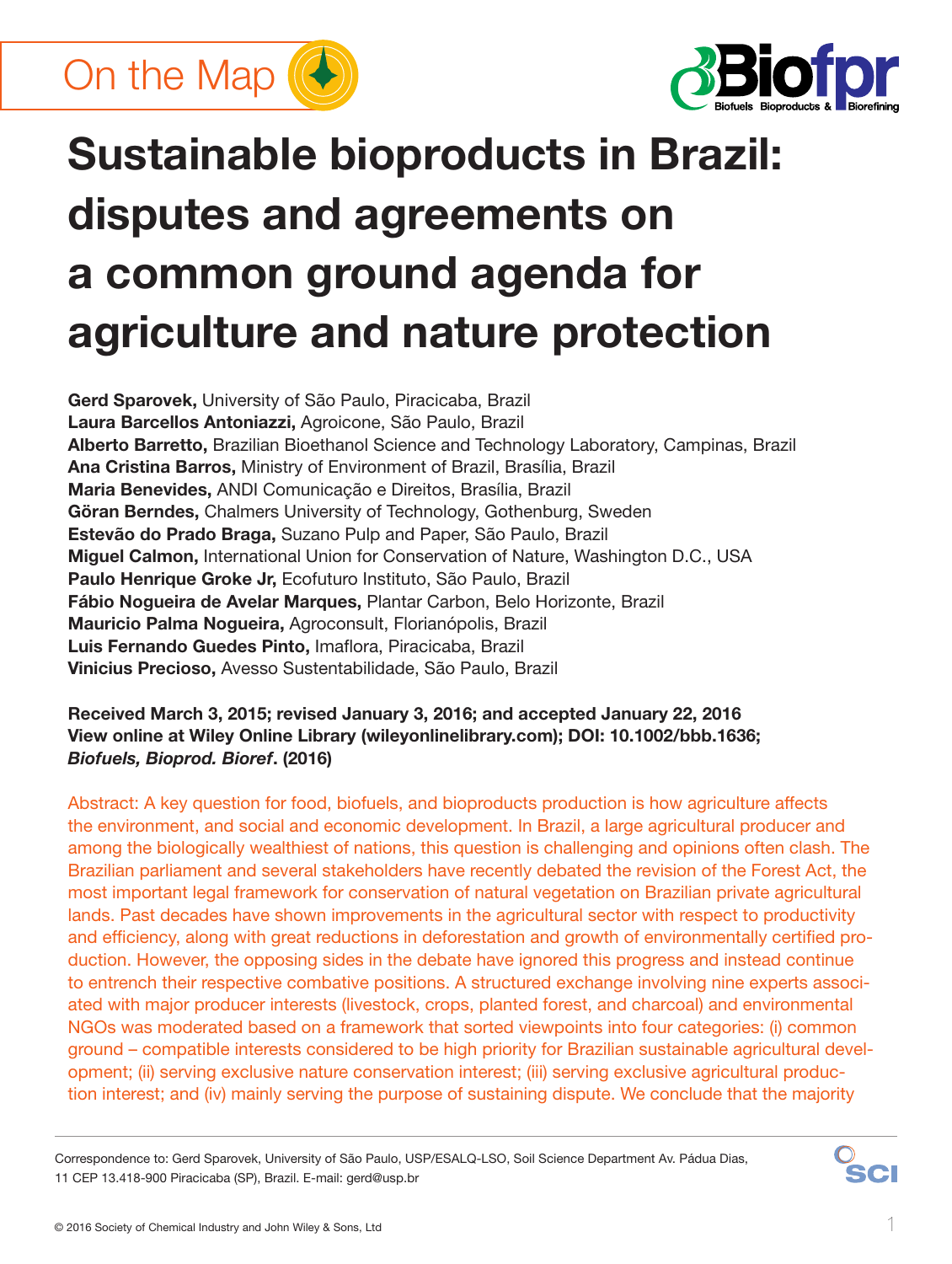On the Map



# **Sustainable bioproducts in Brazil: disputes and agreements on a common ground agenda for agriculture and nature protection**

**Gerd Sparovek,** University of São Paulo, Piracicaba, Brazil **Laura Barcellos Antoniazzi,** Agroicone, São Paulo, Brazil **Alberto Barretto,** Brazilian Bioethanol Science and Technology Laboratory, Campinas, Brazil **Ana Cristina Barros,** Ministry of Environment of Brazil, Brasília, Brazil **Maria Benevides,** ANDI Comunicação e Direitos, Brasília, Brazil **Göran Berndes,** Chalmers University of Technology, Gothenburg, Sweden **Estevão do Prado Braga,** Suzano Pulp and Paper, São Paulo, Brazil **Miguel Calmon,** International Union for Conservation of Nature, Washington D.C., USA **Paulo Henrique Groke Jr,** Ecofuturo Instituto, São Paulo, Brazil **Fábio Nogueira de Avelar Marques,** Plantar Carbon, Belo Horizonte, Brazil **Mauricio Palma Nogueira,** Agroconsult, Florianópolis, Brazil Luis Fernando Guedes Pinto, Imaflora, Piracicaba, Brazil **Vinicius Precioso,** Avesso Sustentabilidade, São Paulo, Brazil

# **Received March 3, 2015; revised January 3, 2016; and accepted January 22, 2016 View online at Wiley Online Library (wileyonlinelibrary.com); DOI: 10.1002/bbb.1636;**  *Biofuels, Bioprod. Bioref***. (2016)**

Abstract: A key question for food, biofuels, and bioproducts production is how agriculture affects the environment, and social and economic development. In Brazil, a large agricultural producer and among the biologically wealthiest of nations, this question is challenging and opinions often clash. The Brazilian parliament and several stakeholders have recently debated the revision of the Forest Act, the most important legal framework for conservation of natural vegetation on Brazilian private agricultural lands. Past decades have shown improvements in the agricultural sector with respect to productivity and efficiency, along with great reductions in deforestation and growth of environmentally certified production. However, the opposing sides in the debate have ignored this progress and instead continue to entrench their respective combative positions. A structured exchange involving nine experts associated with major producer interests (livestock, crops, planted forest, and charcoal) and environmental NGOs was moderated based on a framework that sorted viewpoints into four categories: (i) common ground – compatible interests considered to be high priority for Brazilian sustainable agricultural development; (ii) serving exclusive nature conservation interest; (iii) serving exclusive agricultural production interest; and (iv) mainly serving the purpose of sustaining dispute. We conclude that the majority

Correspondence to: Gerd Sparovek, University of São Paulo, USP/ESALQ-LSO, Soil Science Department Av. Pádua Dias, 11 CEP 13.418-900 Piracicaba (SP), Brazil. E-mail: gerd@usp.br

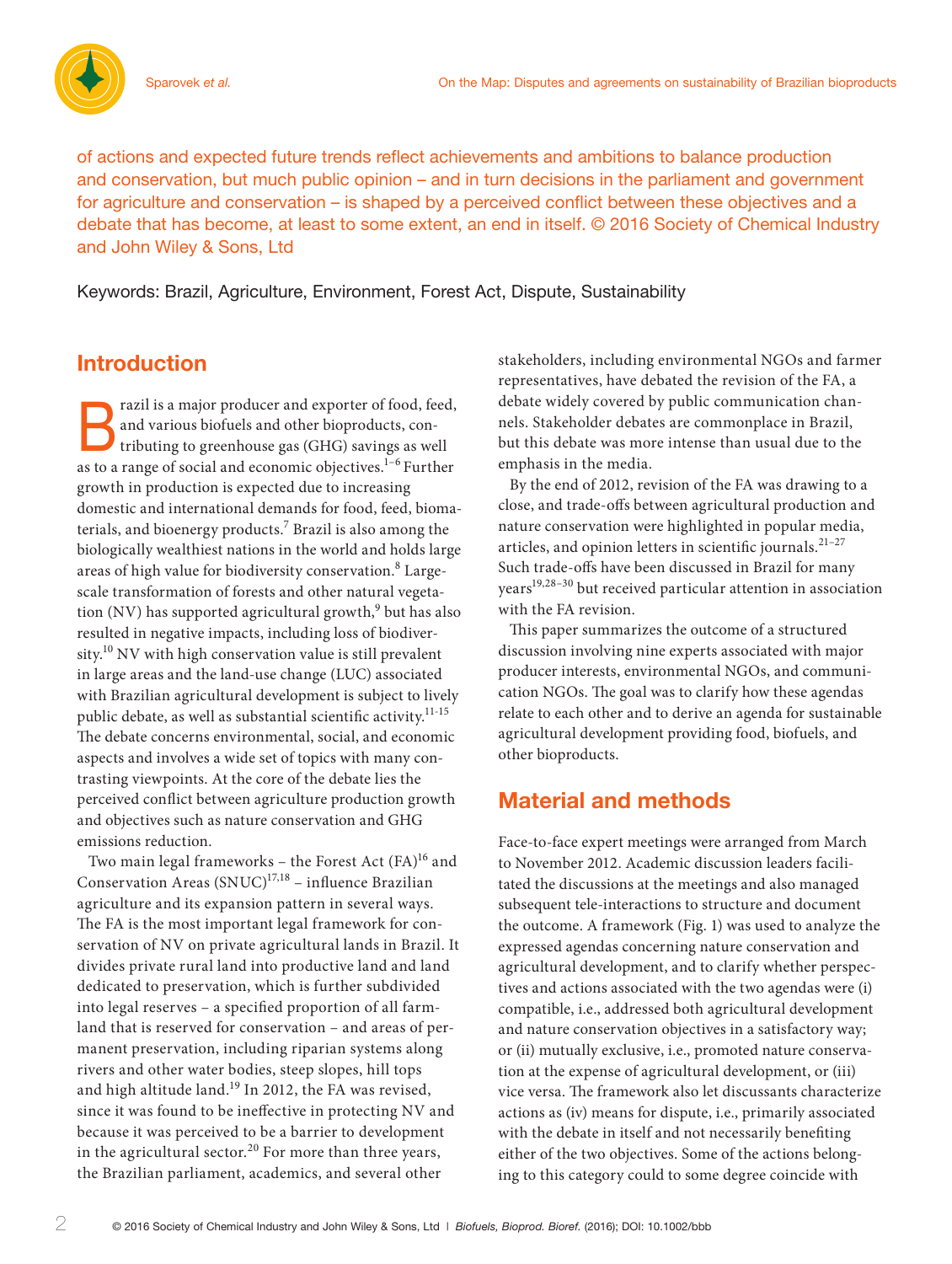

of actions and expected future trends reflect achievements and ambitions to balance production and conservation, but much public opinion – and in turn decisions in the parliament and government for agriculture and conservation – is shaped by a perceived conflict between these objectives and a debate that has become, at least to some extent, an end in itself. © 2016 Society of Chemical Industry and John Wiley & Sons, Ltd

Keywords: Brazil, Agriculture, Environment, Forest Act, Dispute, Sustainability

# **Introduction**

Frazil is a major producer and exporter of food, feed, and various biofuels and other bioproducts, contributing to greenhouse gas (GHG) savings as well and various biofuels and other bioproducts, conas to a range of social and economic objectives.<sup>1-6</sup> Further growth in production is expected due to increasing domestic and international demands for food, feed, biomaterials, and bioenergy products.7 Brazil is also among the biologically wealthiest nations in the world and holds large areas of high value for biodiversity conservation.<sup>8</sup> Largescale transformation of forests and other natural vegetation (NV) has supported agricultural growth,<sup>9</sup> but has also resulted in negative impacts, including loss of biodiversity.<sup>10</sup> NV with high conservation value is still prevalent in large areas and the land-use change (LUC) associated with Brazilian agricultural development is subject to lively public debate, as well as substantial scientific activity.<sup>11-15</sup> The debate concerns environmental, social, and economic aspects and involves a wide set of topics with many contrasting viewpoints. At the core of the debate lies the perceived conflict between agriculture production growth and objectives such as nature conservation and GHG emissions reduction.

Two main legal frameworks - the Forest Act  $(FA)^{16}$  and Conservation Areas  $(SNUC)^{17,18}$  – influence Brazilian agriculture and its expansion pattern in several ways. The FA is the most important legal framework for conservation of NV on private agricultural lands in Brazil. It divides private rural land into productive land and land dedicated to preservation, which is further subdivided into legal reserves - a specified proportion of all farmland that is reserved for conservation – and areas of permanent preservation, including riparian systems along rivers and other water bodies, steep slopes, hill tops and high altitude land.<sup>19</sup> In 2012, the FA was revised, since it was found to be ineffective in protecting NV and because it was perceived to be a barrier to development in the agricultural sector.<sup>20</sup> For more than three years, the Brazilian parliament, academics, and several other

stakeholders, including environmental NGOs and farmer representatives, have debated the revision of the FA, a debate widely covered by public communication channels. Stakeholder debates are commonplace in Brazil, but this debate was more intense than usual due to the emphasis in the media.

By the end of 2012, revision of the FA was drawing to a close, and trade-offs between agricultural production and nature conservation were highlighted in popular media, articles, and opinion letters in scientific journals.<sup>21-27</sup> Such trade-offs have been discussed in Brazil for many years19,28–30 but received particular attention in association with the FA revision.

This paper summarizes the outcome of a structured discussion involving nine experts associated with major producer interests, environmental NGOs, and communication NGOs. The goal was to clarify how these agendas relate to each other and to derive an agenda for sustainable agricultural development providing food, biofuels, and other bioproducts.

# **Material and methods**

Face-to-face expert meetings were arranged from March to November 2012. Academic discussion leaders facilitated the discussions at the meetings and also managed subsequent tele-interactions to structure and document the outcome. A framework (Fig. 1) was used to analyze the expressed agendas concerning nature conservation and agricultural development, and to clarify whether perspectives and actions associated with the two agendas were (i) compatible, i.e., addressed both agricultural development and nature conservation objectives in a satisfactory way; or (ii) mutually exclusive, i.e., promoted nature conservation at the expense of agricultural development, or (iii) vice versa. The framework also let discussants characterize actions as (iv) means for dispute, i.e., primarily associated with the debate in itself and not necessarily benefiting either of the two objectives. Some of the actions belonging to this category could to some degree coincide with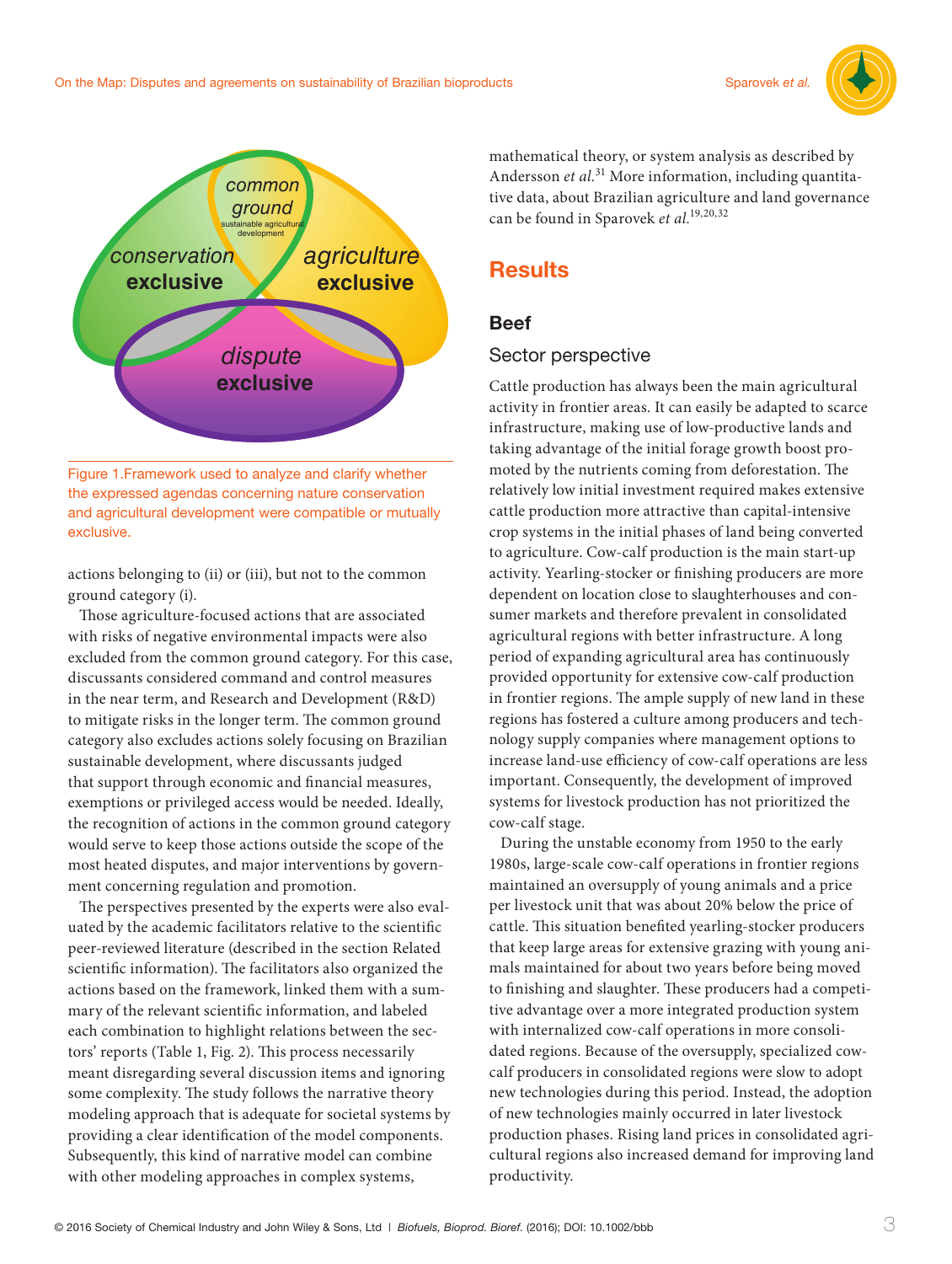



Figure 1.Framework used to analyze and clarify whether the expressed agendas concerning nature conservation and agricultural development were compatible or mutually exclusive.

actions belonging to (ii) or (iii), but not to the common ground category (i).

Those agriculture-focused actions that are associated with risks of negative environmental impacts were also excluded from the common ground category. For this case, discussants considered command and control measures in the near term, and Research and Development (R&D) to mitigate risks in the longer term. The common ground category also excludes actions solely focusing on Brazilian sustainable development, where discussants judged that support through economic and financial measures, exemptions or privileged access would be needed. Ideally, the recognition of actions in the common ground category would serve to keep those actions outside the scope of the most heated disputes, and major interventions by government concerning regulation and promotion.

The perspectives presented by the experts were also evaluated by the academic facilitators relative to the scientific peer-reviewed literature (described in the section Related scientific information). The facilitators also organized the actions based on the framework, linked them with a summary of the relevant scientific information, and labeled each combination to highlight relations between the sectors' reports (Table 1, Fig. 2). This process necessarily meant disregarding several discussion items and ignoring some complexity. The study follows the narrative theory modeling approach that is adequate for societal systems by providing a clear identification of the model components. Subsequently, this kind of narrative model can combine with other modeling approaches in complex systems,

mathematical theory, or system analysis as described by Andersson *et al.*<sup>31</sup> More information, including quantitative data, about Brazilian agriculture and land governance can be found in Sparovek *et al.*19,20,32

# **Results**

# **Beef**

## Sector perspective

Cattle production has always been the main agricultural activity in frontier areas. It can easily be adapted to scarce infrastructure, making use of low-productive lands and taking advantage of the initial forage growth boost promoted by the nutrients coming from deforestation. The relatively low initial investment required makes extensive cattle production more attractive than capital-intensive crop systems in the initial phases of land being converted to agriculture. Cow-calf production is the main start-up activity. Yearling-stocker or finishing producers are more dependent on location close to slaughterhouses and consumer markets and therefore prevalent in consolidated agricultural regions with better infrastructure. A long period of expanding agricultural area has continuously provided opportunity for extensive cow-calf production in frontier regions. The ample supply of new land in these regions has fostered a culture among producers and technology supply companies where management options to increase land-use efficiency of cow-calf operations are less important. Consequently, the development of improved systems for livestock production has not prioritized the cow-calf stage.

During the unstable economy from 1950 to the early 1980s, large-scale cow-calf operations in frontier regions maintained an oversupply of young animals and a price per livestock unit that was about 20% below the price of cattle. This situation benefited yearling-stocker producers that keep large areas for extensive grazing with young animals maintained for about two years before being moved to finishing and slaughter. These producers had a competitive advantage over a more integrated production system with internalized cow-calf operations in more consolidated regions. Because of the oversupply, specialized cowcalf producers in consolidated regions were slow to adopt new technologies during this period. Instead, the adoption of new technologies mainly occurred in later livestock production phases. Rising land prices in consolidated agricultural regions also increased demand for improving land productivity.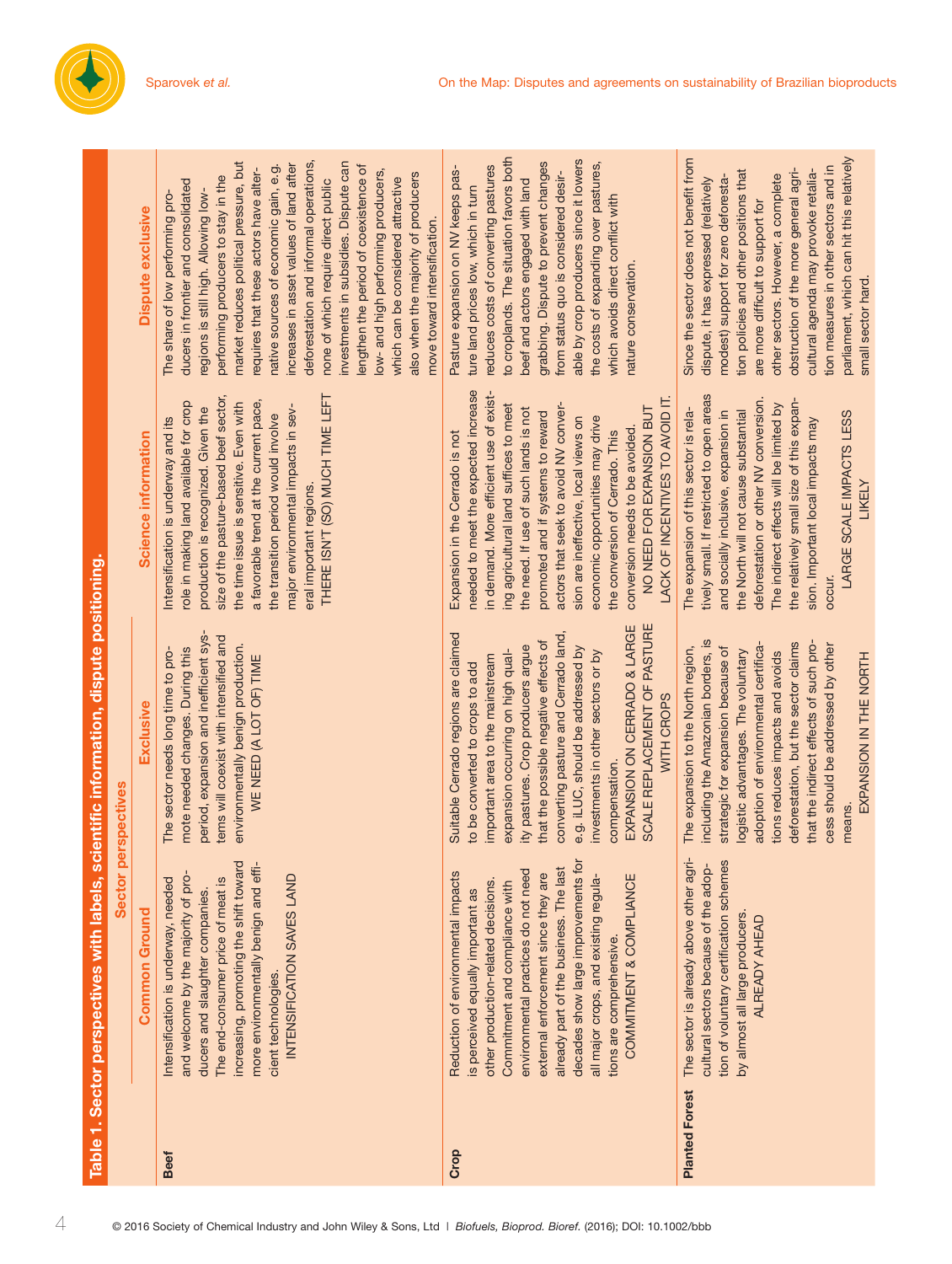| m                                       |
|-----------------------------------------|
|                                         |
| © 2016 Society of Chemical Industry and |

| perspectives<br><b>Sector</b><br>Table 1. Sector perspectives with labels, | <b>Exclusive</b><br><b>Common Ground</b> | period, expansion and inefficient sys-<br>tems will coexist with intensified and<br>environmentally benign production.<br>mote needed changes. During this<br>The sector needs long time to pro-<br>WE NEED (A LOT OF) TIME<br>increasing, promoting the shift toward<br>more environmentally benign and effi-<br>and welcome by the majority of pro-<br>INTENSIFICATION SAVES LAND<br>The end-consumer price of meat is<br>Intensification is underway, needed<br>ducers and slaughter companies.<br>cient technologies.                                                                                                                             | SCALE REPLACEMENT OF PASTURE<br>EXPANSION ON CERRADO & LARGE<br>Suitable Cerrado regions are claimed<br>converting pasture and Cerrado land,<br>that the possible negative effects of<br>ity pastures. Crop producers argue<br>e.g. iLUC, should be addressed by<br>expansion occurring on high qual-<br>investments in other sectors or by<br>important area to the mainstream<br>to be converted to crops to add<br>WITH CROPS<br>compensation.<br>ð,<br>already part of the business. The last<br>environmental practices do not need<br>Reduction of environmental impacts<br>external enforcement since they are<br>all major crops, and existing regula-<br>COMMITMENT & COMPLIANCE<br>decades show large improvements t<br>other production-related decisions.<br>Commitment and compliance with<br>is perceived equally important as<br>tions are comprehensive. | including the Amazonian borders, is<br>that the indirect effects of such pro-<br>deforestation, but the sector claims<br>adoption of environmental certifica-<br>The expansion to the North region,<br>strategic for expansion because of<br>logistic advantages. The voluntary<br>tions reduces impacts and avoids<br>The sector is already above other agri-<br>tion of voluntary certification schemes<br>cultural sectors because of the adop-<br>by almost all large producers.<br>ALREADY AHEAD |
|----------------------------------------------------------------------------|------------------------------------------|-------------------------------------------------------------------------------------------------------------------------------------------------------------------------------------------------------------------------------------------------------------------------------------------------------------------------------------------------------------------------------------------------------------------------------------------------------------------------------------------------------------------------------------------------------------------------------------------------------------------------------------------------------|--------------------------------------------------------------------------------------------------------------------------------------------------------------------------------------------------------------------------------------------------------------------------------------------------------------------------------------------------------------------------------------------------------------------------------------------------------------------------------------------------------------------------------------------------------------------------------------------------------------------------------------------------------------------------------------------------------------------------------------------------------------------------------------------------------------------------------------------------------------------------|-------------------------------------------------------------------------------------------------------------------------------------------------------------------------------------------------------------------------------------------------------------------------------------------------------------------------------------------------------------------------------------------------------------------------------------------------------------------------------------------------------|
| scientific information, dispute positioning.                               |                                          |                                                                                                                                                                                                                                                                                                                                                                                                                                                                                                                                                                                                                                                       |                                                                                                                                                                                                                                                                                                                                                                                                                                                                                                                                                                                                                                                                                                                                                                                                                                                                          |                                                                                                                                                                                                                                                                                                                                                                                                                                                                                                       |
|                                                                            | Science information                      | THERE ISN'T (SO) MUCH TIME LEFT<br>size of the pasture-based beef sector,<br>role in making land available for crop<br>a favorable trend at the current pace,<br>the time issue is sensitive. Even with<br>major environmental impacts in sev-<br>production is recognized. Given the<br>the transition period would involve<br>Intensification is underway and its<br>eral important regions.                                                                                                                                                                                                                                                        | needed to meet the expected increase<br>in demand. More efficient use of exist-<br>LACK OF INCENTIVES TO AVOID IT.<br>ing agricultural land suffices to meet<br>actors that seek to avoid NV conver-<br>NO NEED FOR EXPANSION BUT<br>the need. If use of such lands is not<br>promoted and if systems to reward<br>sion are ineffective, local views on<br>economic opportunities may drive<br>conversion needs to be avoided.<br>the conversion of Cerrado. This<br>Expansion in the Cerrado is not                                                                                                                                                                                                                                                                                                                                                                     | tively small. If restricted to open areas<br>deforestation or other NV conversion.<br>the relatively small size of this expan-<br>The indirect effects will be limited by<br>The expansion of this sector is rela-<br>and socially inclusive, expansion in<br>the North will not cause substantial                                                                                                                                                                                                    |
|                                                                            | Dispute exclusive                        | deforestation and informal operations,<br>market reduces political pressure, but<br>investments in subsidies. Dispute can<br>increases in asset values of land after<br>lengthen the period of coexistence of<br>native sources of economic gain, e.g.<br>requires that these actors have alter-<br>low- and high performing producers,<br>also when the majority of producers<br>performing producers to stay in the<br>which can be considered attractive<br>none of which require direct public<br>ducers in frontier and consolidated<br>regions is still high. Allowing low-<br>The share of low performing pro-<br>move toward intensification. | to croplands. The situation favors both<br>able by crop producers since it lowers<br>grabbing. Dispute to prevent changes<br>the costs of expanding over pastures,<br>reduces costs of converting pastures<br>Pasture expansion on NV keeps pas-<br>from status quo is considered desir-<br>beef and actors engaged with land<br>ture land prices low, which in turn<br>which avoids direct conflict with<br>nature conservation.                                                                                                                                                                                                                                                                                                                                                                                                                                        | Since the sector does not benefit from<br>obstruction of the more general agri-<br>tion policies and other positions that<br>other sectors. However, a complete<br>modest) support for zero deforesta-<br>dispute, it has expressed (relatively<br>are more difficult to support for                                                                                                                                                                                                                  |

Since the sector does not benefit from parliament, which can hit this relatively parliament, which can hit this relatively tion measures in other sectors and in res in other sectors and in tion policies and other positions that n of the more general agriand other positions that obstruction of the more general agrienda may provoke retaliaother sectors. However, a complete cultural agenda may provoke retaliaupport for zero deforestaors. However, a complete dispute, it has expressed (relatively modest) support for zero deforestaifficult to support for are more difficult to support for small sector hard. small sector hard.

means.

means.

EXPANSION IN THE NORTH

EXPANSION IN THE NORTH

LARGE SCALE IMPACTS LESS LIKELY

LARGE SCALE IMPACTS LESS

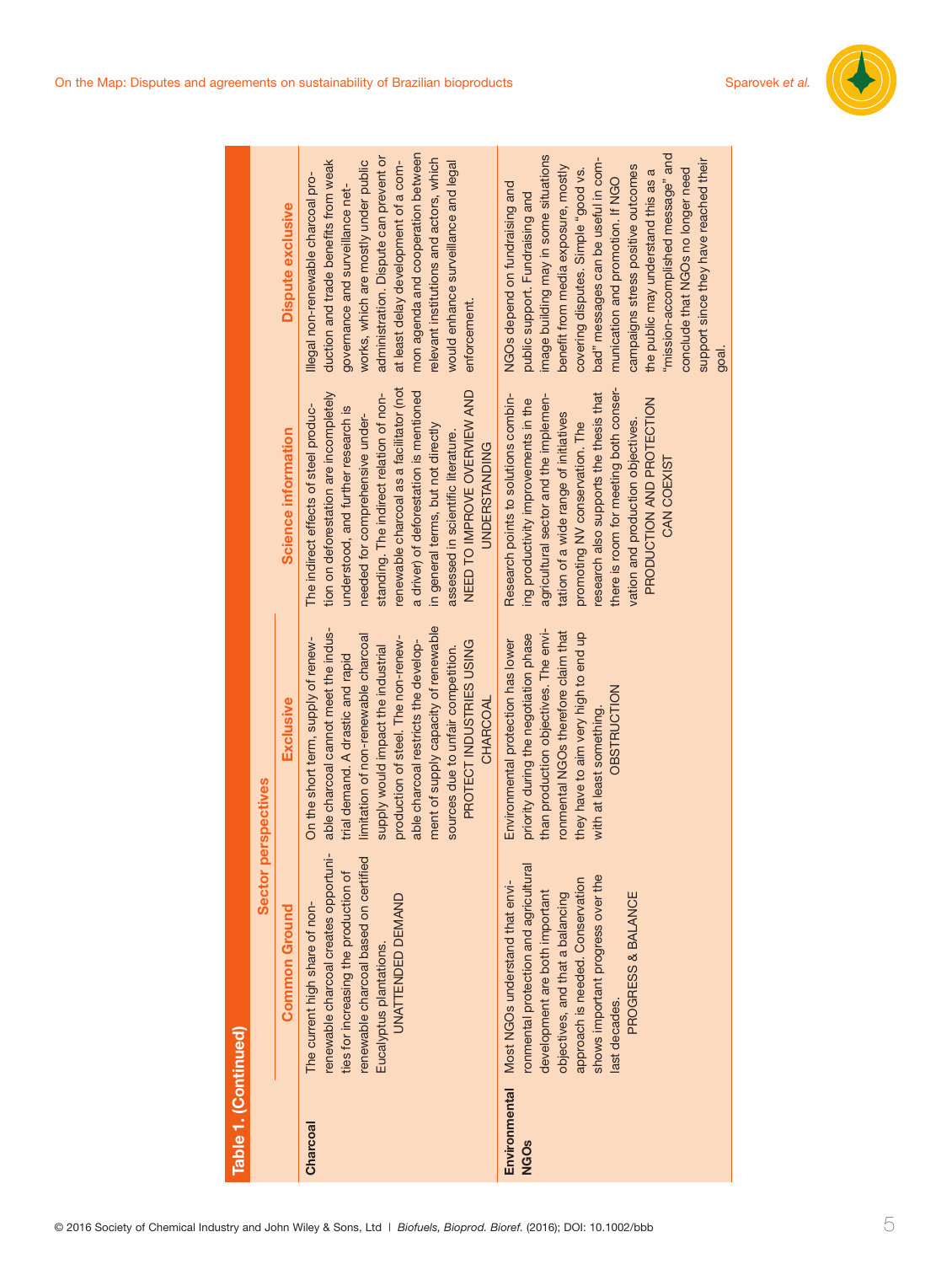| Table 1. (Continued)         |                                                                                                                                                                                                                                                                |                                                                                                                                                                                                                                                                                                                                                                                                     |                                                                                                                                                                                                                                                                                                                                                                                                                                 |                                                                                                                                                                                                                                                                                                                                                                                                                                                                               |
|------------------------------|----------------------------------------------------------------------------------------------------------------------------------------------------------------------------------------------------------------------------------------------------------------|-----------------------------------------------------------------------------------------------------------------------------------------------------------------------------------------------------------------------------------------------------------------------------------------------------------------------------------------------------------------------------------------------------|---------------------------------------------------------------------------------------------------------------------------------------------------------------------------------------------------------------------------------------------------------------------------------------------------------------------------------------------------------------------------------------------------------------------------------|-------------------------------------------------------------------------------------------------------------------------------------------------------------------------------------------------------------------------------------------------------------------------------------------------------------------------------------------------------------------------------------------------------------------------------------------------------------------------------|
|                              | <b>Sector</b><br>Ground<br>Common                                                                                                                                                                                                                              | <b>Exclusive</b><br>perspectives                                                                                                                                                                                                                                                                                                                                                                    | Science information                                                                                                                                                                                                                                                                                                                                                                                                             | Dispute exclusive                                                                                                                                                                                                                                                                                                                                                                                                                                                             |
| Charcoal                     | renewable charcoal creates opportuni-<br>renewable charcoal based on certified<br>ties for increasing the production of<br>UNATTENDED DEMAND<br>The current high share of non-<br>Eucalyptus plantations.                                                      | ment of supply capacity of renewable<br>able charcoal cannot meet the indus-<br>limitation of non-renewable charcoal<br>production of steel. The non-renew-<br>On the short term, supply of renew-<br>able charcoal restricts the develop-<br>PROTECT INDUSTRIES USING<br>supply would impact the industrial<br>sources due to unfair competition.<br>trial demand. A drastic and rapid<br>CHARCOAL | renewable charcoal as a facilitator (not<br>NEED TO IMPROVE OVERVIEW AND<br>a driver) of deforestation is mentioned<br>tion on deforestation are incompletely<br>standing. The indirect relation of non-<br>understood, and further research is<br>The indirect effects of steel produc-<br>needed for comprehensive under-<br>in general terms, but not directly<br>assessed in scientific literature.<br><b>UNDERSTANDING</b> | mon agenda and cooperation between<br>administration. Dispute can prevent or<br>relevant institutions and actors, which<br>works, which are mostly under public<br>at least delay development of a com-<br>duction and trade benefits from weak<br>would enhance surveillance and legal<br>Illegal non-renewable charcoal pro-<br>governance and surveillance net-<br>enforcement.                                                                                            |
| Environmental<br><b>NGOS</b> | ronmental protection and agricultural<br>shows important progress over the<br>approach is needed. Conservation<br>Most NGOs understand that envi-<br>development are both important<br>objectives, and that a balancing<br>PROGRESS & BALANCE<br>last decades. | than production objectives. The envi-<br>ronmental NGOs therefore claim that<br>they have to aim very high to end up<br>priority during the negotiation phase<br>Environmental protection has lower<br><b>OBSTRUCTION</b><br>with at least something.                                                                                                                                               | there is room for meeting both conser-<br>research also supports the thesis that<br>Research points to solutions combin-<br>agricultural sector and the implemen-<br>ing productivity improvements in the<br>PRODUCTION AND PROTECTION<br>tation of a wide range of initiatives<br>vation and production objectives.<br>promoting NV conservation. The<br>CAN COEXIST                                                           | "mission-accomplished message" and<br>image building may in some situations<br>bad" messages can be useful in com-<br>support since they have reached their<br>campaigns stress positive outcomes<br>benefit from media exposure, mostly<br>conclude that NGOs no longer need<br>covering disputes. Simple "good vs.<br>the public may understand this as a<br>munication and promotion. If NGO<br>NGOs depend on fundraising and<br>public support. Fundraising and<br>goal. |



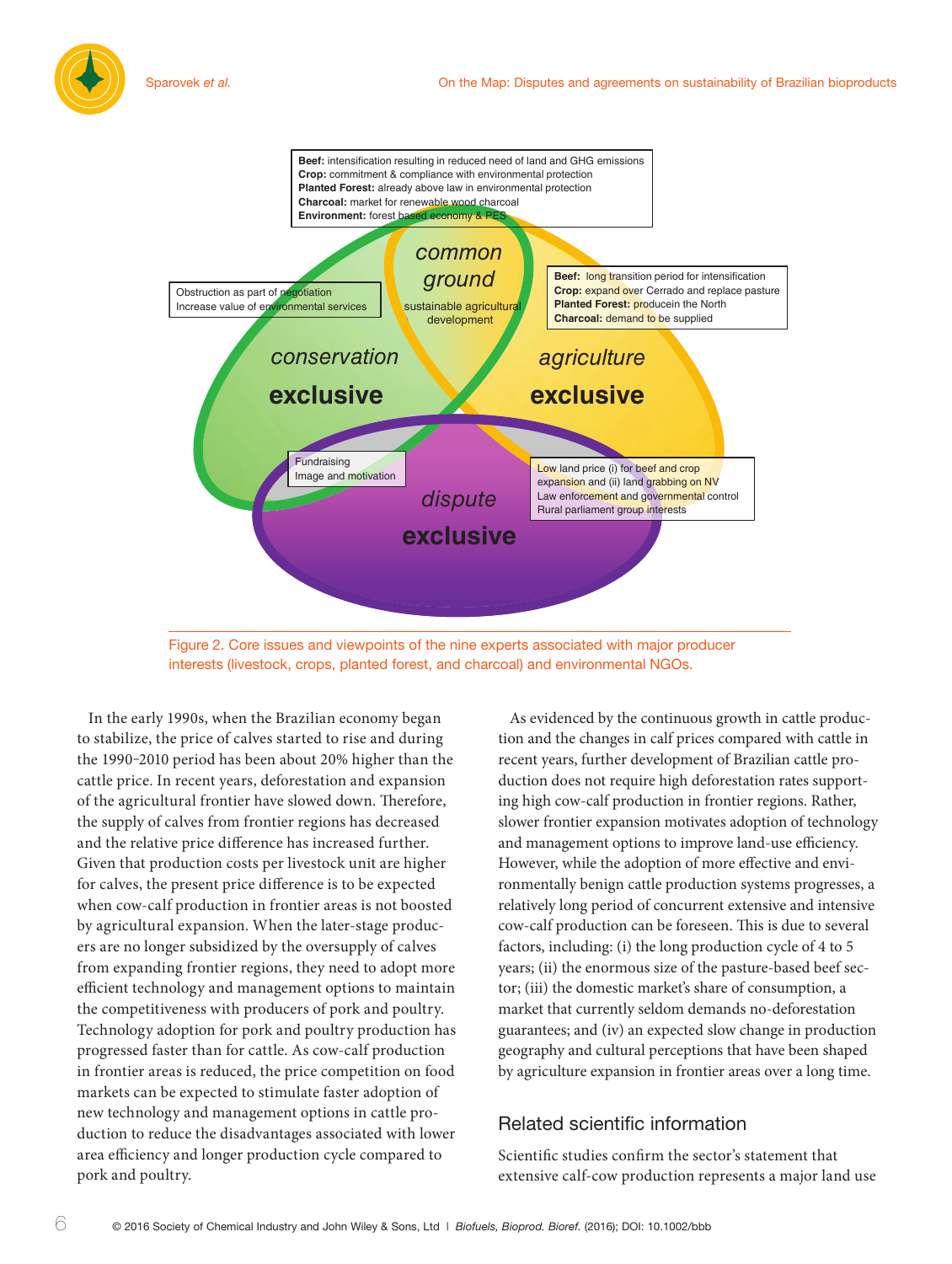

Figure 2. Core issues and viewpoints of the nine experts associated with major producer interests (livestock, crops, planted forest, and charcoal) and environmental NGOs.

In the early 1990s, when the Brazilian economy began to stabilize, the price of calves started to rise and during the 1990-2010 period has been about 20% higher than the cattle price. In recent years, deforestation and expansion of the agricultural frontier have slowed down. Therefore, the supply of calves from frontier regions has decreased and the relative price difference has increased further. Given that production costs per livestock unit are higher for calves, the present price difference is to be expected when cow-calf production in frontier areas is not boosted by agricultural expansion. When the later-stage producers are no longer subsidized by the oversupply of calves from expanding frontier regions, they need to adopt more efficient technology and management options to maintain the competitiveness with producers of pork and poultry. Technology adoption for pork and poultry production has progressed faster than for cattle. As cow-calf production in frontier areas is reduced, the price competition on food markets can be expected to stimulate faster adoption of new technology and management options in cattle production to reduce the disadvantages associated with lower area efficiency and longer production cycle compared to pork and poultry.

As evidenced by the continuous growth in cattle production and the changes in calf prices compared with cattle in recent years, further development of Brazilian cattle production does not require high deforestation rates supporting high cow-calf production in frontier regions. Rather, slower frontier expansion motivates adoption of technology and management options to improve land-use efficiency. However, while the adoption of more effective and environmentally benign cattle production systems progresses, a relatively long period of concurrent extensive and intensive cow-calf production can be foreseen. This is due to several factors, including: (i) the long production cycle of 4 to 5 years; (ii) the enormous size of the pasture-based beef sector; (iii) the domestic market's share of consumption, a market that currently seldom demands no-deforestation guarantees; and (iv) an expected slow change in production geography and cultural perceptions that have been shaped by agriculture expansion in frontier areas over a long time.

# Related scientific information

Scientific studies confirm the sector's statement that extensive calf-cow production represents a major land use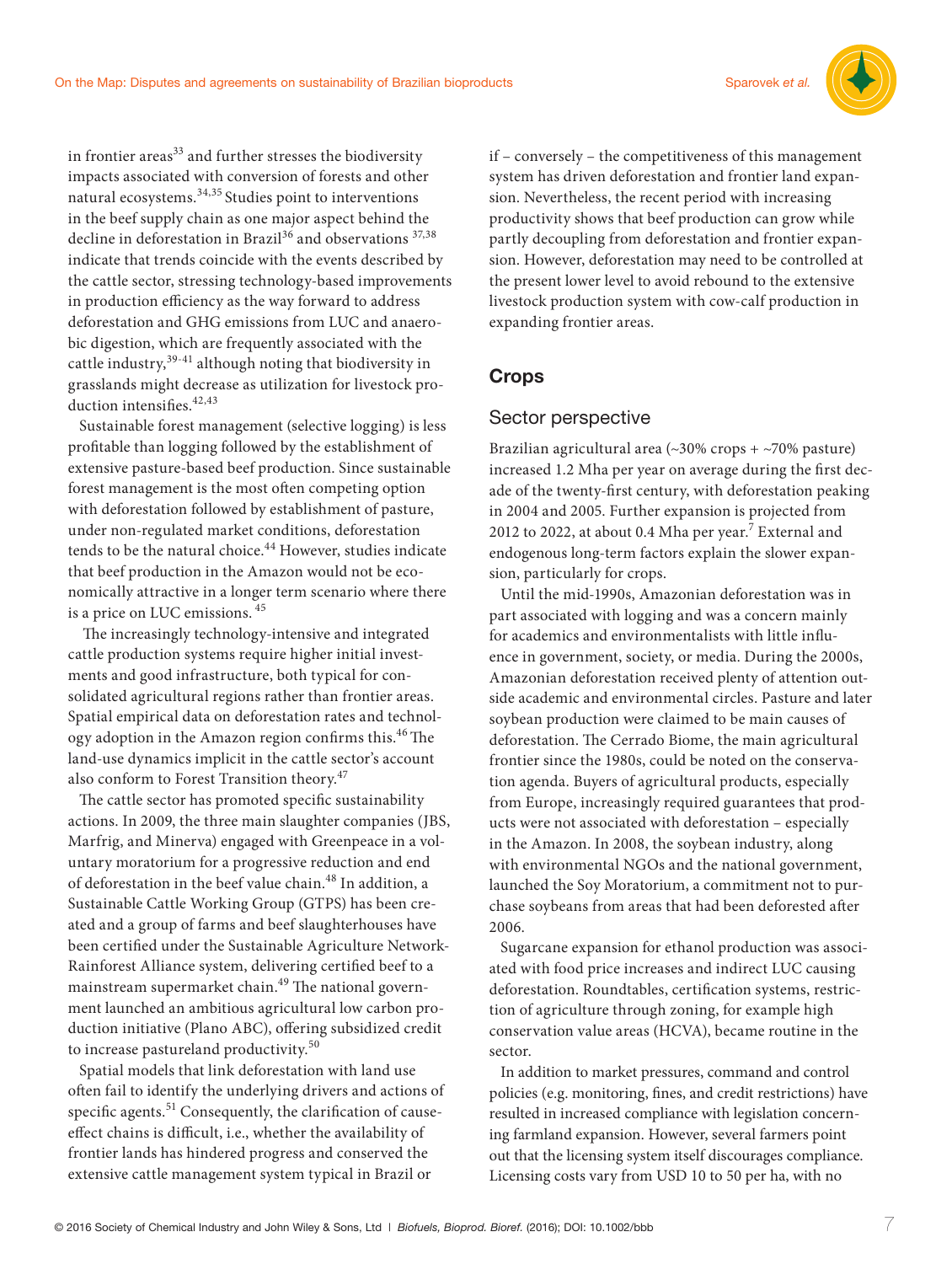

in frontier areas $^{33}$  and further stresses the biodiversity impacts associated with conversion of forests and other natural ecosystems.34,35 Studies point to interventions in the beef supply chain as one major aspect behind the decline in deforestation in Brazil<sup>36</sup> and observations  $37,38$ indicate that trends coincide with the events described by the cattle sector, stressing technology-based improvements in production efficiency as the way forward to address deforestation and GHG emissions from LUC and anaerobic digestion, which are frequently associated with the cattle industry,39-41 although noting that biodiversity in grasslands might decrease as utilization for livestock production intensifies.  $\real^{42,43}$ 

Sustainable forest management (selective logging) is less profitable than logging followed by the establishment of extensive pasture-based beef production. Since sustainable forest management is the most often competing option with deforestation followed by establishment of pasture, under non-regulated market conditions, deforestation tends to be the natural choice.<sup>44</sup> However, studies indicate that beef production in the Amazon would not be economically attractive in a longer term scenario where there is a price on LUC emissions.<sup>45</sup>

The increasingly technology-intensive and integrated cattle production systems require higher initial investments and good infrastructure, both typical for consolidated agricultural regions rather than frontier areas. Spatial empirical data on deforestation rates and technology adoption in the Amazon region confirms this.<sup>46</sup> The land-use dynamics implicit in the cattle sector's account also conform to Forest Transition theory.<sup>47</sup>

The cattle sector has promoted specific sustainability actions. In 2009, the three main slaughter companies (JBS, Marfrig, and Minerva) engaged with Greenpeace in a voluntary moratorium for a progressive reduction and end of deforestation in the beef value chain.<sup>48</sup> In addition, a Sustainable Cattle Working Group (GTPS) has been created and a group of farms and beef slaughterhouses have been certified under the Sustainable Agriculture Network-Rainforest Alliance system, delivering certified beef to a mainstream supermarket chain.<sup>49</sup> The national government launched an ambitious agricultural low carbon production initiative (Plano ABC), offering subsidized credit to increase pastureland productivity.<sup>50</sup>

Spatial models that link deforestation with land use often fail to identify the underlying drivers and actions of specific agents.<sup>51</sup> Consequently, the clarification of causeeffect chains is difficult, i.e., whether the availability of frontier lands has hindered progress and conserved the extensive cattle management system typical in Brazil or

if – conversely – the competitiveness of this management system has driven deforestation and frontier land expansion. Nevertheless, the recent period with increasing productivity shows that beef production can grow while partly decoupling from deforestation and frontier expansion. However, deforestation may need to be controlled at the present lower level to avoid rebound to the extensive livestock production system with cow-calf production in expanding frontier areas.

## **Crops**

## Sector perspective

Brazilian agricultural area (~30% crops + ~70% pasture) increased 1.2 Mha per year on average during the first decade of the twenty-first century, with deforestation peaking in 2004 and 2005. Further expansion is projected from 2012 to 2022, at about 0.4 Mha per year.<sup>7</sup> External and endogenous long-term factors explain the slower expansion, particularly for crops.

Until the mid-1990s, Amazonian deforestation was in part associated with logging and was a concern mainly for academics and environmentalists with little influence in government, society, or media. During the 2000s, Amazonian deforestation received plenty of attention outside academic and environmental circles. Pasture and later soybean production were claimed to be main causes of deforestation. The Cerrado Biome, the main agricultural frontier since the 1980s, could be noted on the conservation agenda. Buyers of agricultural products, especially from Europe, increasingly required guarantees that products were not associated with deforestation – especially in the Amazon. In 2008, the soybean industry, along with environmental NGOs and the national government, launched the Soy Moratorium, a commitment not to purchase soybeans from areas that had been deforested after 2006.

Sugarcane expansion for ethanol production was associated with food price increases and indirect LUC causing deforestation. Roundtables, certification systems, restriction of agriculture through zoning, for example high conservation value areas (HCVA), became routine in the sector.

In addition to market pressures, command and control policies (e.g. monitoring, fines, and credit restrictions) have resulted in increased compliance with legislation concerning farmland expansion. However, several farmers point out that the licensing system itself discourages compliance. Licensing costs vary from USD 10 to 50 per ha, with no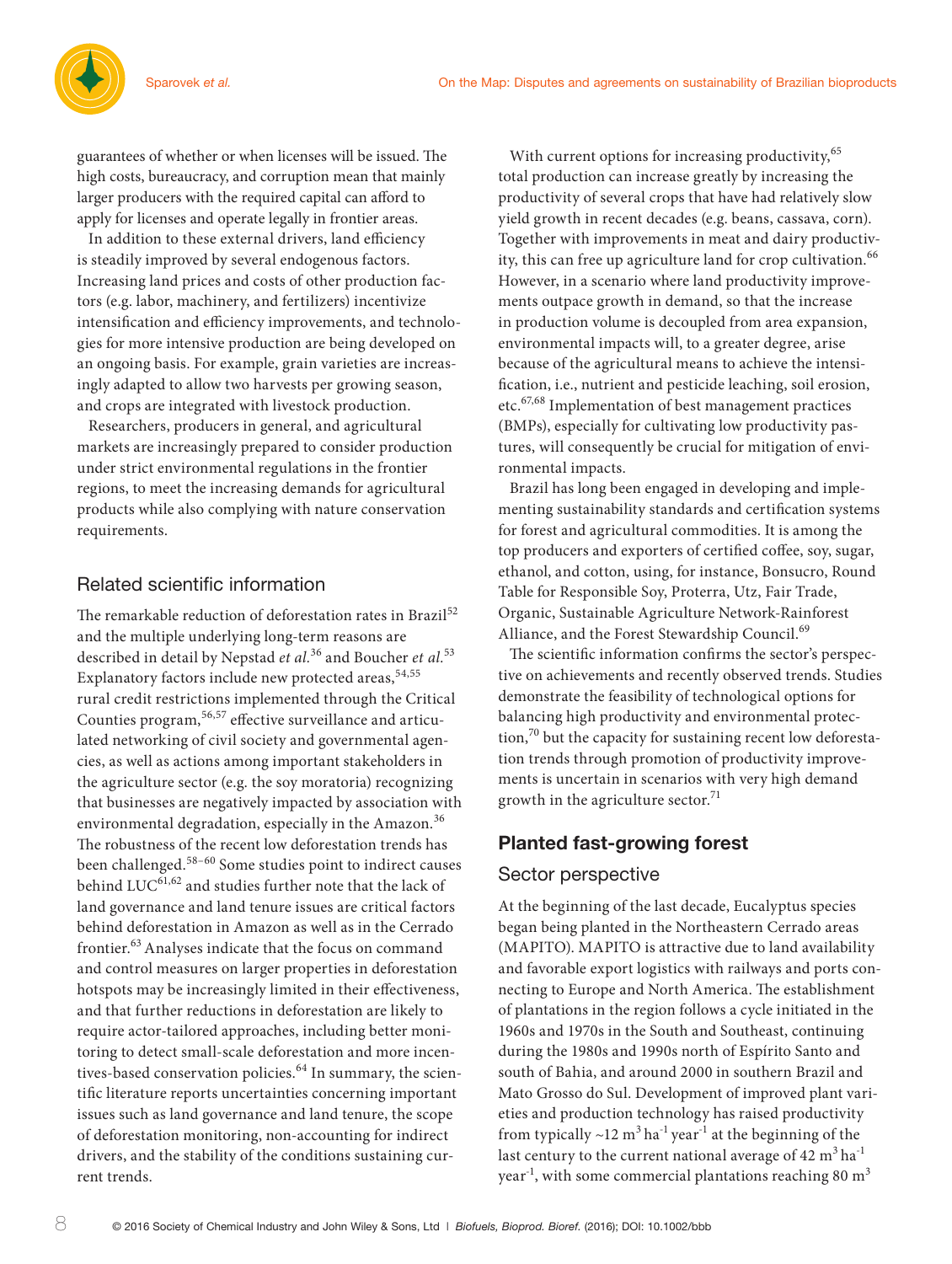

guarantees of whether or when licenses will be issued. The high costs, bureaucracy, and corruption mean that mainly larger producers with the required capital can afford to apply for licenses and operate legally in frontier areas.

In addition to these external drivers, land efficiency is steadily improved by several endogenous factors. Increasing land prices and costs of other production factors (e.g. labor, machinery, and fertilizers) incentivize intensification and efficiency improvements, and technologies for more intensive production are being developed on an ongoing basis. For example, grain varieties are increasingly adapted to allow two harvests per growing season, and crops are integrated with livestock production.

Researchers, producers in general, and agricultural markets are increasingly prepared to consider production under strict environmental regulations in the frontier regions, to meet the increasing demands for agricultural products while also complying with nature conservation requirements.

# Related scientific information

The remarkable reduction of deforestation rates in Brazil<sup>52</sup> and the multiple underlying long-term reasons are described in detail by Nepstad *et al.*36 and Boucher *et al.*<sup>53</sup> Explanatory factors include new protected areas,  $54,55$ rural credit restrictions implemented through the Critical Counties program,<sup>56,57</sup> effective surveillance and articulated networking of civil society and governmental agencies, as well as actions among important stakeholders in the agriculture sector (e.g. the soy moratoria) recognizing that businesses are negatively impacted by association with environmental degradation, especially in the Amazon.<sup>36</sup> The robustness of the recent low deforestation trends has been challenged.58–60 Some studies point to indirect causes behind LUC<sup>61,62</sup> and studies further note that the lack of land governance and land tenure issues are critical factors behind deforestation in Amazon as well as in the Cerrado frontier.63 Analyses indicate that the focus on command and control measures on larger properties in deforestation hotspots may be increasingly limited in their effectiveness, and that further reductions in deforestation are likely to require actor-tailored approaches, including better monitoring to detect small-scale deforestation and more incentives-based conservation policies.<sup>64</sup> In summary, the scientific literature reports uncertainties concerning important issues such as land governance and land tenure, the scope of deforestation monitoring, non-accounting for indirect drivers, and the stability of the conditions sustaining current trends.

With current options for increasing productivity, <sup>65</sup> total production can increase greatly by increasing the productivity of several crops that have had relatively slow yield growth in recent decades (e.g. beans, cassava, corn). Together with improvements in meat and dairy productivity, this can free up agriculture land for crop cultivation.<sup>66</sup> However, in a scenario where land productivity improvements outpace growth in demand, so that the increase in production volume is decoupled from area expansion, environmental impacts will, to a greater degree, arise because of the agricultural means to achieve the intensification, i.e., nutrient and pesticide leaching, soil erosion, etc.67,68 Implementation of best management practices (BMPs), especially for cultivating low productivity pastures, will consequently be crucial for mitigation of environmental impacts.

Brazil has long been engaged in developing and implementing sustainability standards and certification systems for forest and agricultural commodities. It is among the top producers and exporters of certified coffee, soy, sugar, ethanol, and cotton, using, for instance, Bonsucro, Round Table for Responsible Soy, Proterra, Utz, Fair Trade, Organic, Sustainable Agriculture Network-Rainforest Alliance, and the Forest Stewardship Council.<sup>69</sup>

The scientific information confirms the sector's perspective on achievements and recently observed trends. Studies demonstrate the feasibility of technological options for balancing high productivity and environmental protection, $^{70}$  but the capacity for sustaining recent low deforestation trends through promotion of productivity improvements is uncertain in scenarios with very high demand growth in the agriculture sector.<sup>71</sup>

# **Planted fast-growing forest**

## Sector perspective

At the beginning of the last decade, Eucalyptus species began being planted in the Northeastern Cerrado areas (MAPITO). MAPITO is attractive due to land availability and favorable export logistics with railways and ports connecting to Europe and North America. The establishment of plantations in the region follows a cycle initiated in the 1960s and 1970s in the South and Southeast, continuing during the 1980s and 1990s north of Espírito Santo and south of Bahia, and around 2000 in southern Brazil and Mato Grosso do Sul. Development of improved plant varieties and production technology has raised productivity from typically  $\sim$ 12 m<sup>3</sup> ha<sup>-1</sup> year<sup>-1</sup> at the beginning of the last century to the current national average of  $42 \text{ m}^3 \text{ ha}^{-1}$ year<sup>-1</sup>, with some commercial plantations reaching 80  $m<sup>3</sup>$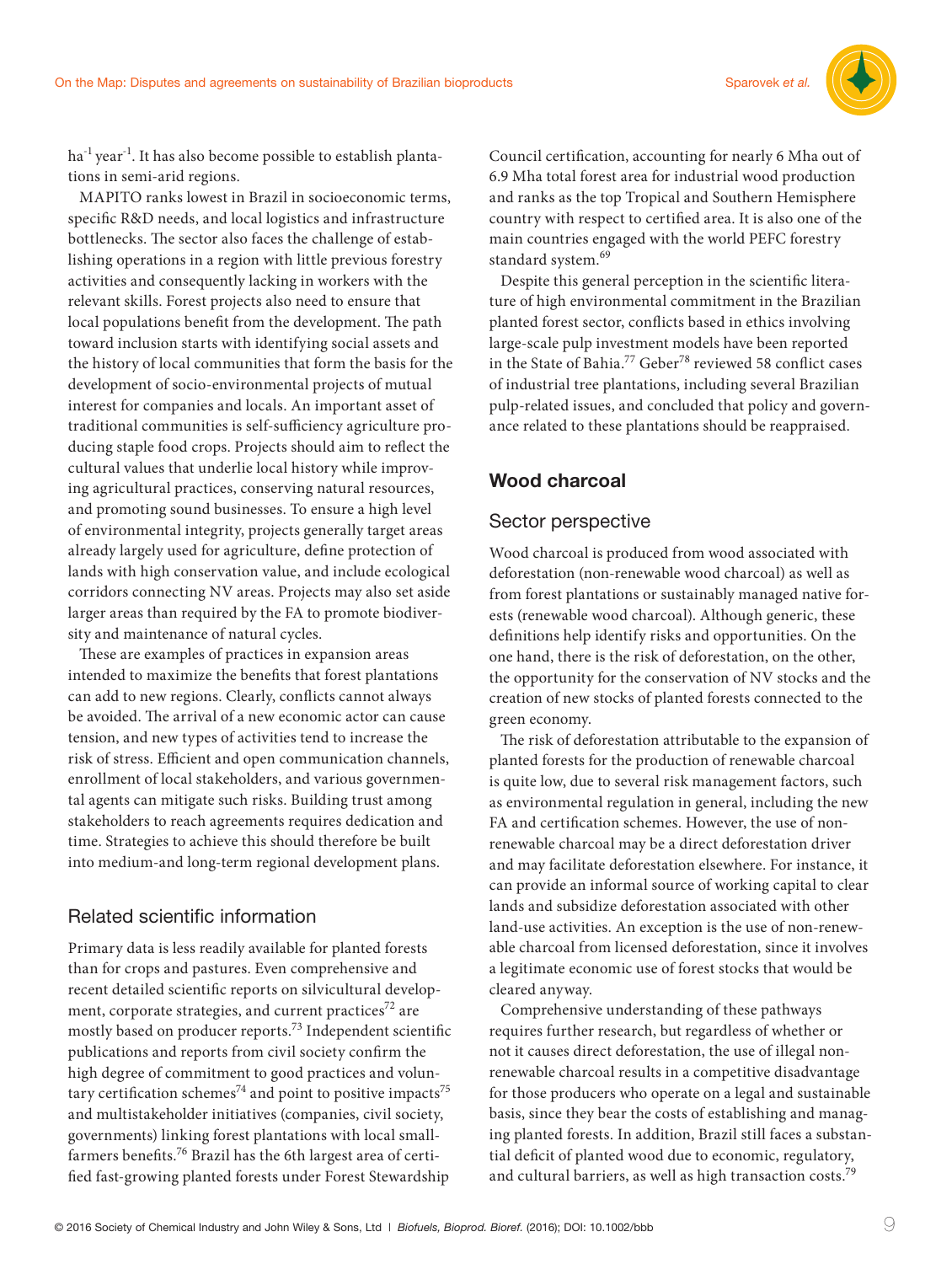

ha<sup>-1</sup> year<sup>-1</sup>. It has also become possible to establish plantations in semi-arid regions.

MAPITO ranks lowest in Brazil in socioeconomic terms, specific R&D needs, and local logistics and infrastructure bottlenecks. The sector also faces the challenge of establishing operations in a region with little previous forestry activities and consequently lacking in workers with the relevant skills. Forest projects also need to ensure that local populations benefit from the development. The path toward inclusion starts with identifying social assets and the history of local communities that form the basis for the development of socio-environmental projects of mutual interest for companies and locals. An important asset of traditional communities is self-sufficiency agriculture producing staple food crops. Projects should aim to reflect the cultural values that underlie local history while improving agricultural practices, conserving natural resources, and promoting sound businesses. To ensure a high level of environmental integrity, projects generally target areas already largely used for agriculture, define protection of lands with high conservation value, and include ecological corridors connecting NV areas. Projects may also set aside larger areas than required by the FA to promote biodiversity and maintenance of natural cycles.

These are examples of practices in expansion areas intended to maximize the benefits that forest plantations can add to new regions. Clearly, conflicts cannot always be avoided. The arrival of a new economic actor can cause tension, and new types of activities tend to increase the risk of stress. Efficient and open communication channels, enrollment of local stakeholders, and various governmental agents can mitigate such risks. Building trust among stakeholders to reach agreements requires dedication and time. Strategies to achieve this should therefore be built into medium-and long-term regional development plans.

# Related scientific information

Primary data is less readily available for planted forests than for crops and pastures. Even comprehensive and recent detailed scientific reports on silvicultural development, corporate strategies, and current practices $72$  are mostly based on producer reports.<sup>73</sup> Independent scientific publications and reports from civil society confirm the high degree of commitment to good practices and voluntary certification schemes<sup>74</sup> and point to positive impacts<sup>75</sup> and multistakeholder initiatives (companies, civil society, governments) linking forest plantations with local smallfarmers benefits.<sup>76</sup> Brazil has the 6th largest area of certified fast-growing planted forests under Forest Stewardship

Council certification, accounting for nearly 6 Mha out of 6.9 Mha total forest area for industrial wood production and ranks as the top Tropical and Southern Hemisphere country with respect to certified area. It is also one of the main countries engaged with the world PEFC forestry standard system.<sup>69</sup>

Despite this general perception in the scientific literature of high environmental commitment in the Brazilian planted forest sector, conflicts based in ethics involving large-scale pulp investment models have been reported in the State of Bahia.<sup>77</sup> Geber<sup>78</sup> reviewed 58 conflict cases of industrial tree plantations, including several Brazilian pulp-related issues, and concluded that policy and governance related to these plantations should be reappraised.

# **Wood charcoal**

# Sector perspective

Wood charcoal is produced from wood associated with deforestation (non-renewable wood charcoal) as well as from forest plantations or sustainably managed native forests (renewable wood charcoal). Although generic, these definitions help identify risks and opportunities. On the one hand, there is the risk of deforestation, on the other, the opportunity for the conservation of NV stocks and the creation of new stocks of planted forests connected to the green economy.

The risk of deforestation attributable to the expansion of planted forests for the production of renewable charcoal is quite low, due to several risk management factors, such as environmental regulation in general, including the new FA and certification schemes. However, the use of nonrenewable charcoal may be a direct deforestation driver and may facilitate deforestation elsewhere. For instance, it can provide an informal source of working capital to clear lands and subsidize deforestation associated with other land-use activities. An exception is the use of non-renewable charcoal from licensed deforestation, since it involves a legitimate economic use of forest stocks that would be cleared anyway.

Comprehensive understanding of these pathways requires further research, but regardless of whether or not it causes direct deforestation, the use of illegal nonrenewable charcoal results in a competitive disadvantage for those producers who operate on a legal and sustainable basis, since they bear the costs of establishing and managing planted forests. In addition, Brazil still faces a substantial deficit of planted wood due to economic, regulatory, and cultural barriers, as well as high transaction costs.<sup>79</sup>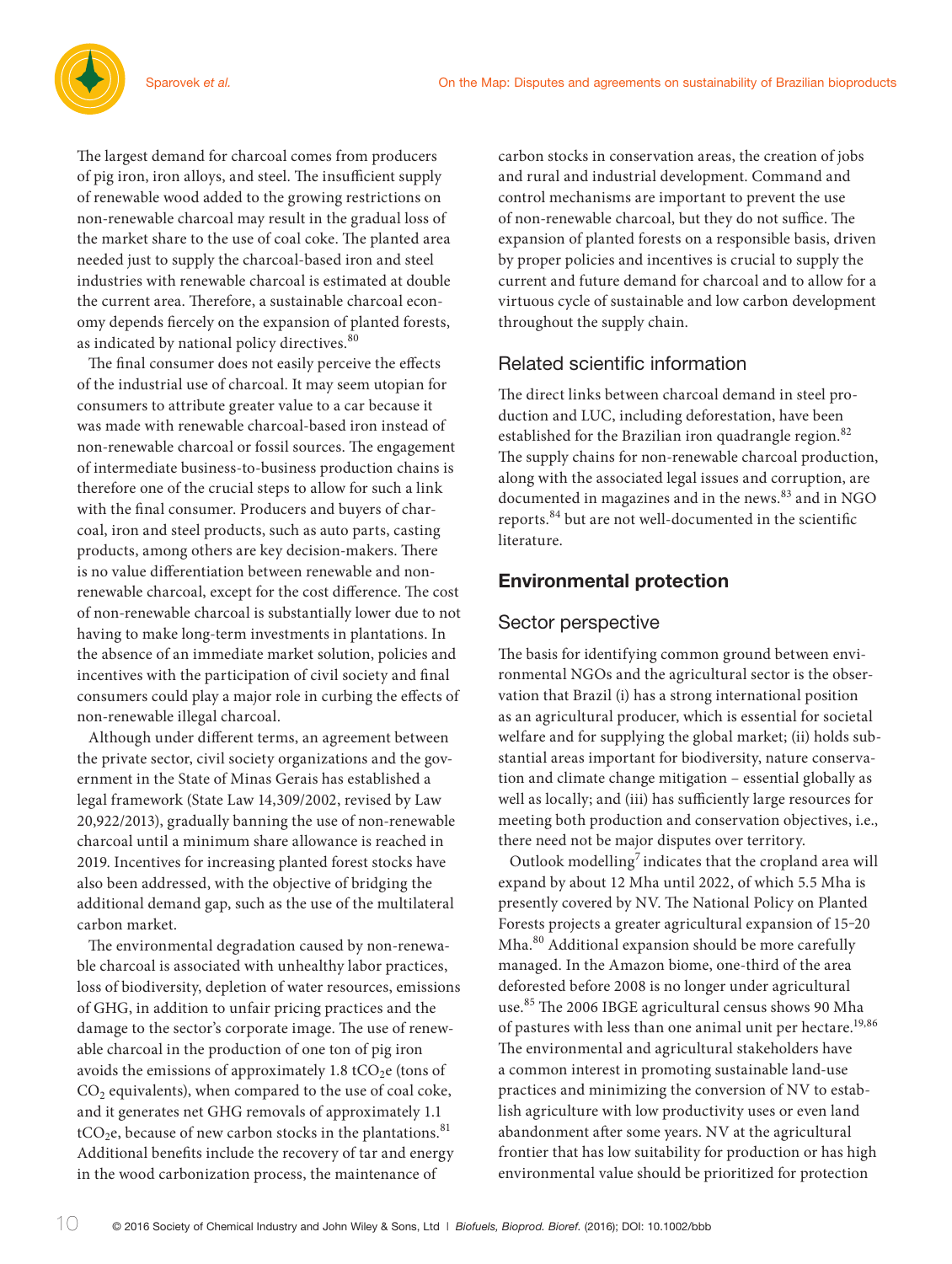

The largest demand for charcoal comes from producers of pig iron, iron alloys, and steel. The insufficient supply of renewable wood added to the growing restrictions on non-renewable charcoal may result in the gradual loss of the market share to the use of coal coke. The planted area needed just to supply the charcoal-based iron and steel industries with renewable charcoal is estimated at double the current area. Therefore, a sustainable charcoal economy depends fiercely on the expansion of planted forests, as indicated by national policy directives.<sup>80</sup>

The final consumer does not easily perceive the effects of the industrial use of charcoal. It may seem utopian for consumers to attribute greater value to a car because it was made with renewable charcoal-based iron instead of non-renewable charcoal or fossil sources. The engagement of intermediate business-to-business production chains is therefore one of the crucial steps to allow for such a link with the final consumer. Producers and buyers of charcoal, iron and steel products, such as auto parts, casting products, among others are key decision-makers. There is no value differentiation between renewable and nonrenewable charcoal, except for the cost difference. The cost of non-renewable charcoal is substantially lower due to not having to make long-term investments in plantations. In the absence of an immediate market solution, policies and incentives with the participation of civil society and final consumers could play a major role in curbing the effects of non-renewable illegal charcoal.

Although under different terms, an agreement between the private sector, civil society organizations and the government in the State of Minas Gerais has established a legal framework (State Law 14,309/2002, revised by Law 20,922/2013), gradually banning the use of non-renewable charcoal until a minimum share allowance is reached in 2019. Incentives for increasing planted forest stocks have also been addressed, with the objective of bridging the additional demand gap, such as the use of the multilateral carbon market.

The environmental degradation caused by non-renewable charcoal is associated with unhealthy labor practices, loss of biodiversity, depletion of water resources, emissions of GHG, in addition to unfair pricing practices and the damage to the sector's corporate image. The use of renewable charcoal in the production of one ton of pig iron avoids the emissions of approximately 1.8 tCO<sub>2</sub>e (tons of  $CO<sub>2</sub>$  equivalents), when compared to the use of coal coke, and it generates net GHG removals of approximately 1.1  $tCO<sub>2</sub>e$ , because of new carbon stocks in the plantations.<sup>81</sup> Additional benefits include the recovery of tar and energy in the wood carbonization process, the maintenance of

carbon stocks in conservation areas, the creation of jobs and rural and industrial development. Command and control mechanisms are important to prevent the use of non-renewable charcoal, but they do not suffice. The expansion of planted forests on a responsible basis, driven by proper policies and incentives is crucial to supply the current and future demand for charcoal and to allow for a virtuous cycle of sustainable and low carbon development throughout the supply chain.

## Related scientific information

The direct links between charcoal demand in steel production and LUC, including deforestation, have been established for the Brazilian iron quadrangle region.<sup>82</sup> The supply chains for non-renewable charcoal production, along with the associated legal issues and corruption, are documented in magazines and in the news.<sup>83</sup> and in NGO reports.<sup>84</sup> but are not well-documented in the scientific literature.

## **Environmental protection**

## Sector perspective

The basis for identifying common ground between environmental NGOs and the agricultural sector is the observation that Brazil (i) has a strong international position as an agricultural producer, which is essential for societal welfare and for supplying the global market; (ii) holds substantial areas important for biodiversity, nature conservation and climate change mitigation – essential globally as well as locally; and (iii) has sufficiently large resources for meeting both production and conservation objectives, i.e., there need not be major disputes over territory.

Outlook modelling<sup>7</sup> indicates that the cropland area will expand by about 12 Mha until 2022, of which 5.5 Mha is presently covered by NV. The National Policy on Planted Forests projects a greater agricultural expansion of 15-20 Mha.80 Additional expansion should be more carefully managed. In the Amazon biome, one-third of the area deforested before 2008 is no longer under agricultural use.<sup>85</sup> The 2006 IBGE agricultural census shows 90 Mha of pastures with less than one animal unit per hectare.<sup>19,86</sup> The environmental and agricultural stakeholders have a common interest in promoting sustainable land-use practices and minimizing the conversion of NV to establish agriculture with low productivity uses or even land abandonment after some years. NV at the agricultural frontier that has low suitability for production or has high environmental value should be prioritized for protection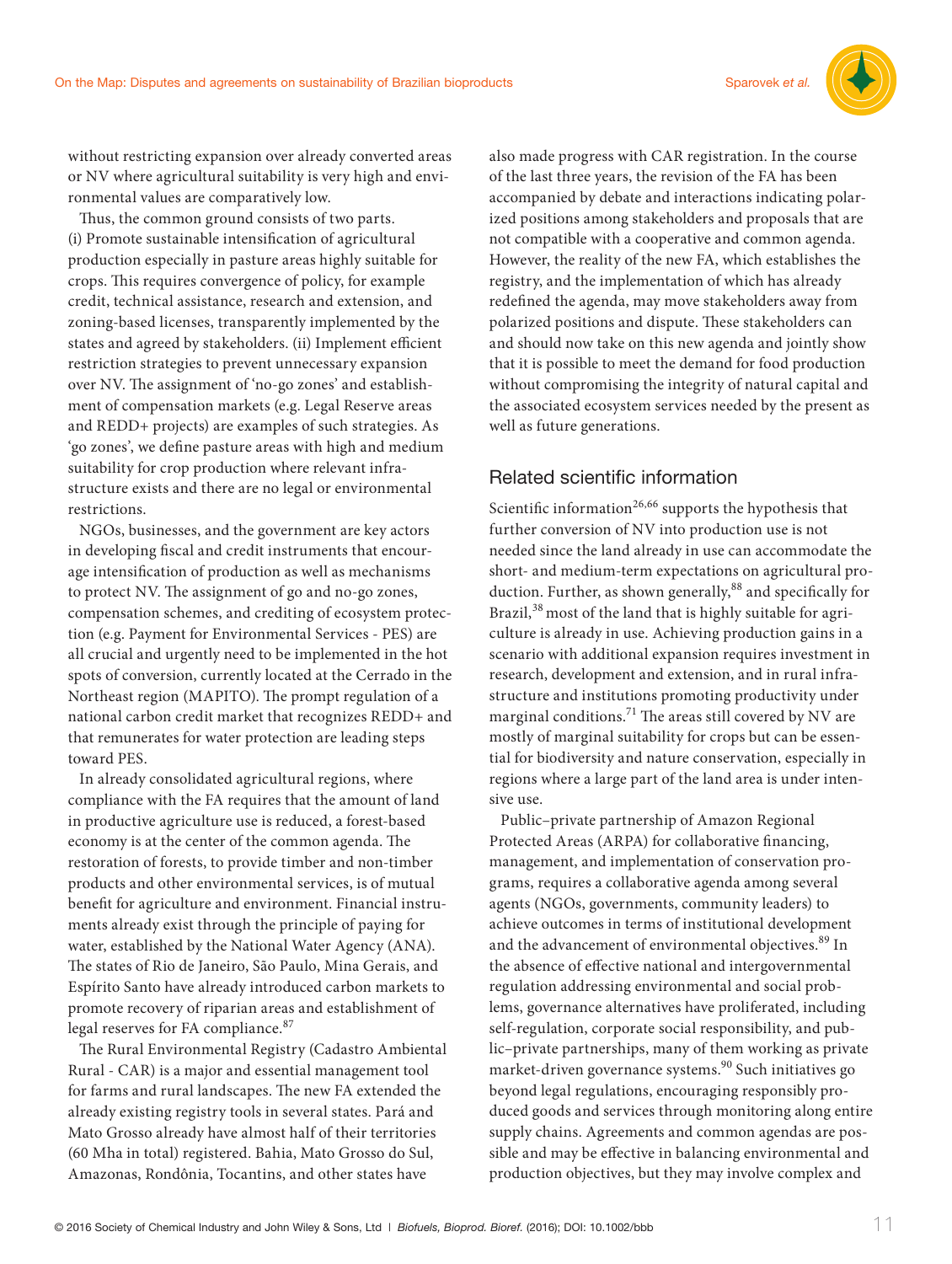

without restricting expansion over already converted areas or NV where agricultural suitability is very high and environmental values are comparatively low.

Thus, the common ground consists of two parts. (i) Promote sustainable intensification of agricultural production especially in pasture areas highly suitable for crops. This requires convergence of policy, for example credit, technical assistance, research and extension, and zoning-based licenses, transparently implemented by the states and agreed by stakeholders. (ii) Implement efficient restriction strategies to prevent unnecessary expansion over NV. The assignment of 'no-go zones' and establishment of compensation markets (e.g. Legal Reserve areas and REDD+ projects) are examples of such strategies. As 'go zones', we define pasture areas with high and medium suitability for crop production where relevant infrastructure exists and there are no legal or environmental restrictions.

NGOs, businesses, and the government are key actors in developing fiscal and credit instruments that encourage intensification of production as well as mechanisms to protect NV. The assignment of go and no-go zones, compensation schemes, and crediting of ecosystem protection (e.g. Payment for Environmental Services - PES) are all crucial and urgently need to be implemented in the hot spots of conversion, currently located at the Cerrado in the Northeast region (MAPITO). The prompt regulation of a national carbon credit market that recognizes REDD+ and that remunerates for water protection are leading steps toward PES.

In already consolidated agricultural regions, where compliance with the FA requires that the amount of land in productive agriculture use is reduced, a forest-based economy is at the center of the common agenda. The restoration of forests, to provide timber and non-timber products and other environmental services, is of mutual benefit for agriculture and environment. Financial instruments already exist through the principle of paying for water, established by the National Water Agency (ANA). The states of Rio de Janeiro, São Paulo, Mina Gerais, and Espírito Santo have already introduced carbon markets to promote recovery of riparian areas and establishment of legal reserves for FA compliance.<sup>87</sup>

The Rural Environmental Registry (Cadastro Ambiental Rural - CAR) is a major and essential management tool for farms and rural landscapes. The new FA extended the already existing registry tools in several states. Pará and Mato Grosso already have almost half of their territories (60 Mha in total) registered. Bahia, Mato Grosso do Sul, Amazonas, Rondônia, Tocantins, and other states have

also made progress with CAR registration. In the course of the last three years, the revision of the FA has been accompanied by debate and interactions indicating polarized positions among stakeholders and proposals that are not compatible with a cooperative and common agenda. However, the reality of the new FA, which establishes the registry, and the implementation of which has already redefined the agenda, may move stakeholders away from polarized positions and dispute. These stakeholders can and should now take on this new agenda and jointly show that it is possible to meet the demand for food production without compromising the integrity of natural capital and the associated ecosystem services needed by the present as well as future generations.

# Related scientific information

Scientific information<sup>26,66</sup> supports the hypothesis that further conversion of NV into production use is not needed since the land already in use can accommodate the short- and medium-term expectations on agricultural production. Further, as shown generally,<sup>88</sup> and specifically for Brazil,<sup>38</sup> most of the land that is highly suitable for agriculture is already in use. Achieving production gains in a scenario with additional expansion requires investment in research, development and extension, and in rural infrastructure and institutions promoting productivity under marginal conditions.<sup>71</sup> The areas still covered by NV are mostly of marginal suitability for crops but can be essential for biodiversity and nature conservation, especially in regions where a large part of the land area is under intensive use.

Public–private partnership of Amazon Regional Protected Areas (ARPA) for collaborative financing, management, and implementation of conservation programs, requires a collaborative agenda among several agents (NGOs, governments, community leaders) to achieve outcomes in terms of institutional development and the advancement of environmental objectives.<sup>89</sup> In the absence of effective national and intergovernmental regulation addressing environmental and social problems, governance alternatives have proliferated, including self-regulation, corporate social responsibility, and public–private partnerships, many of them working as private market-driven governance systems.<sup>90</sup> Such initiatives go beyond legal regulations, encouraging responsibly produced goods and services through monitoring along entire supply chains. Agreements and common agendas are possible and may be effective in balancing environmental and production objectives, but they may involve complex and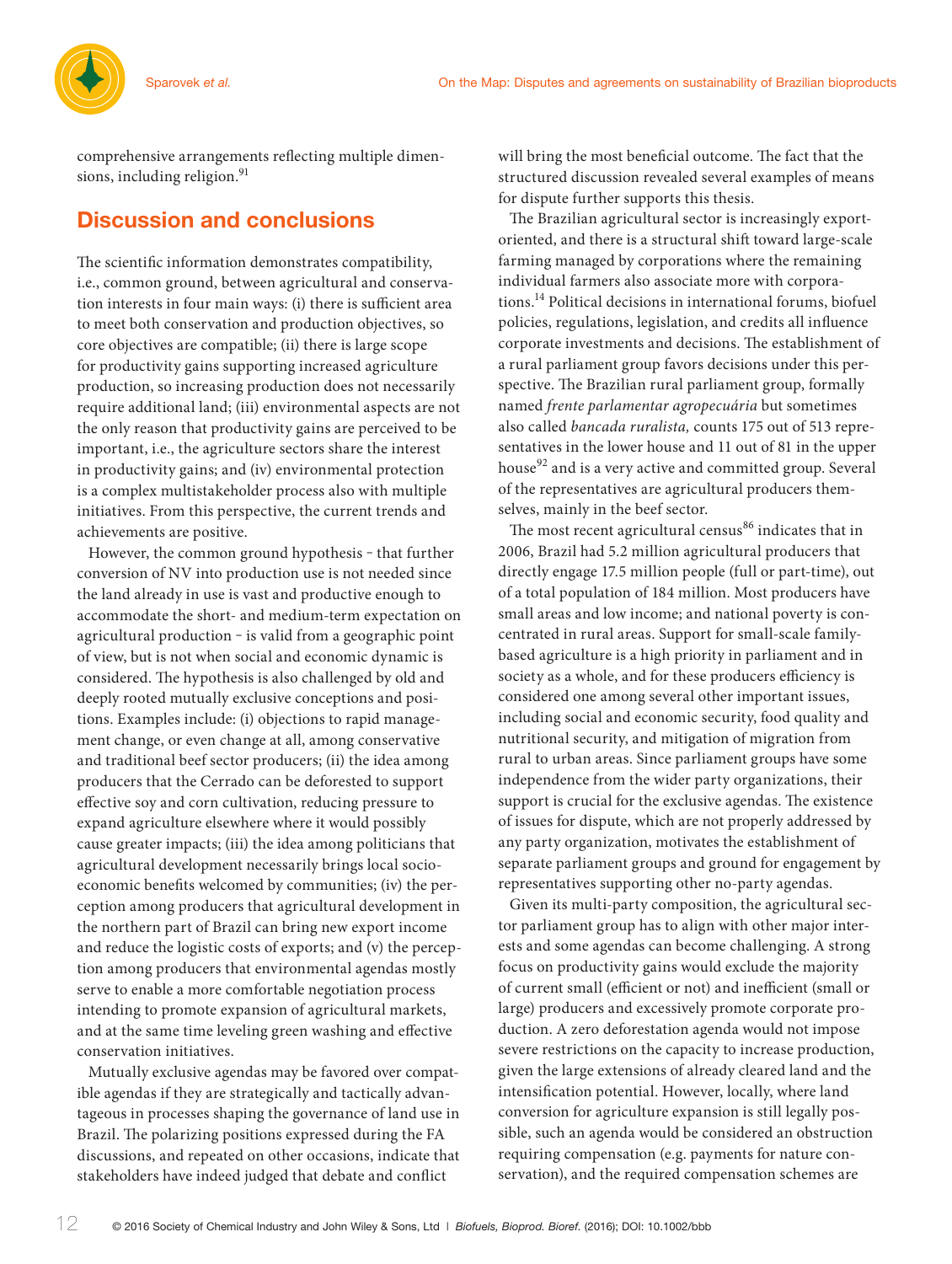

comprehensive arrangements reflecting multiple dimensions, including religion.<sup>91</sup>

# **Discussion and conclusions**

The scientific information demonstrates compatibility, i.e., common ground, between agricultural and conservation interests in four main ways: (i) there is sufficient area to meet both conservation and production objectives, so core objectives are compatible; (ii) there is large scope for productivity gains supporting increased agriculture production, so increasing production does not necessarily require additional land; (iii) environmental aspects are not the only reason that productivity gains are perceived to be important, i.e., the agriculture sectors share the interest in productivity gains; and (iv) environmental protection is a complex multistakeholder process also with multiple initiatives. From this perspective, the current trends and achievements are positive.

However, the common ground hypothesis - that further conversion of NV into production use is not needed since the land already in use is vast and productive enough to accommodate the short- and medium-term expectation on agricultural production - is valid from a geographic point of view, but is not when social and economic dynamic is considered. The hypothesis is also challenged by old and deeply rooted mutually exclusive conceptions and positions. Examples include: (i) objections to rapid management change, or even change at all, among conservative and traditional beef sector producers; (ii) the idea among producers that the Cerrado can be deforested to support effective soy and corn cultivation, reducing pressure to expand agriculture elsewhere where it would possibly cause greater impacts; (iii) the idea among politicians that agricultural development necessarily brings local socioeconomic benefits welcomed by communities; (iv) the perception among producers that agricultural development in the northern part of Brazil can bring new export income and reduce the logistic costs of exports; and (v) the perception among producers that environmental agendas mostly serve to enable a more comfortable negotiation process intending to promote expansion of agricultural markets, and at the same time leveling green washing and effective conservation initiatives.

Mutually exclusive agendas may be favored over compatible agendas if they are strategically and tactically advantageous in processes shaping the governance of land use in Brazil. The polarizing positions expressed during the FA discussions, and repeated on other occasions, indicate that stakeholders have indeed judged that debate and conflict

will bring the most beneficial outcome. The fact that the structured discussion revealed several examples of means for dispute further supports this thesis.

The Brazilian agricultural sector is increasingly exportoriented, and there is a structural shift toward large-scale farming managed by corporations where the remaining individual farmers also associate more with corporations.14 Political decisions in international forums, biofuel policies, regulations, legislation, and credits all influence corporate investments and decisions. The establishment of a rural parliament group favors decisions under this perspective. The Brazilian rural parliament group, formally named *frente parlamentar agropecuária* but sometimes also called *bancada ruralista,* counts 175 out of 513 representatives in the lower house and 11 out of 81 in the upper house<sup>92</sup> and is a very active and committed group. Several of the representatives are agricultural producers themselves, mainly in the beef sector.

The most recent agricultural census $86$  indicates that in 2006, Brazil had 5.2 million agricultural producers that directly engage 17.5 million people (full or part-time), out of a total population of 184 million. Most producers have small areas and low income; and national poverty is concentrated in rural areas. Support for small-scale familybased agriculture is a high priority in parliament and in society as a whole, and for these producers efficiency is considered one among several other important issues, including social and economic security, food quality and nutritional security, and mitigation of migration from rural to urban areas. Since parliament groups have some independence from the wider party organizations, their support is crucial for the exclusive agendas. The existence of issues for dispute, which are not properly addressed by any party organization, motivates the establishment of separate parliament groups and ground for engagement by representatives supporting other no-party agendas.

Given its multi-party composition, the agricultural sector parliament group has to align with other major interests and some agendas can become challenging. A strong focus on productivity gains would exclude the majority of current small (efficient or not) and inefficient (small or large) producers and excessively promote corporate production. A zero deforestation agenda would not impose severe restrictions on the capacity to increase production, given the large extensions of already cleared land and the intensification potential. However, locally, where land conversion for agriculture expansion is still legally possible, such an agenda would be considered an obstruction requiring compensation (e.g. payments for nature conservation), and the required compensation schemes are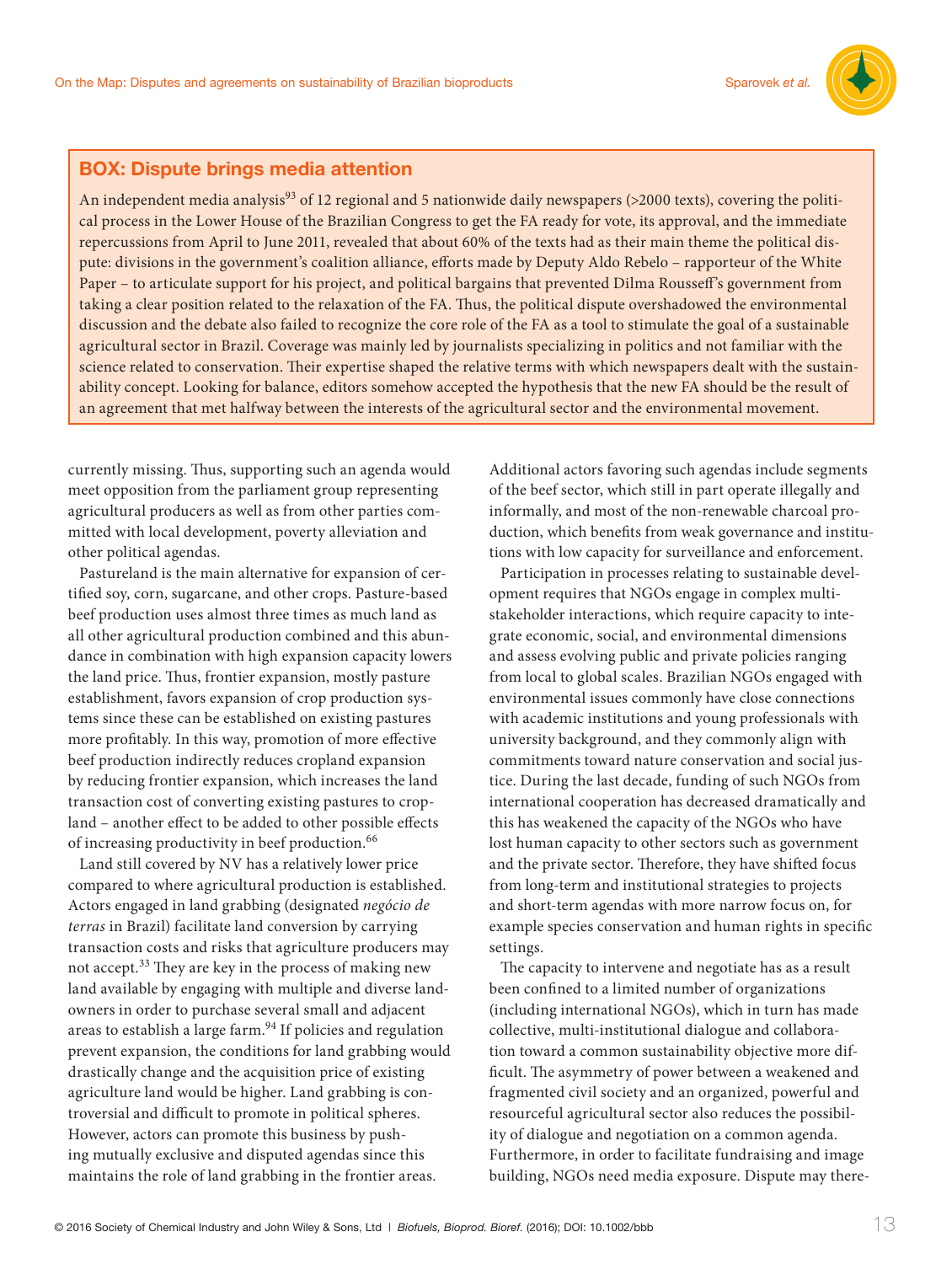

## **BOX: Dispute brings media attention**

An independent media analysis<sup>93</sup> of 12 regional and 5 nationwide daily newspapers (>2000 texts), covering the political process in the Lower House of the Brazilian Congress to get the FA ready for vote, its approval, and the immediate repercussions from April to June 2011, revealed that about 60% of the texts had as their main theme the political dispute: divisions in the government's coalition alliance, efforts made by Deputy Aldo Rebelo – rapporteur of the White Paper – to articulate support for his project, and political bargains that prevented Dilma Rousseff 's government from taking a clear position related to the relaxation of the FA. Thus, the political dispute overshadowed the environmental discussion and the debate also failed to recognize the core role of the FA as a tool to stimulate the goal of a sustainable agricultural sector in Brazil. Coverage was mainly led by journalists specializing in politics and not familiar with the science related to conservation. Their expertise shaped the relative terms with which newspapers dealt with the sustainability concept. Looking for balance, editors somehow accepted the hypothesis that the new FA should be the result of an agreement that met halfway between the interests of the agricultural sector and the environmental movement.

currently missing. Thus, supporting such an agenda would meet opposition from the parliament group representing agricultural producers as well as from other parties committed with local development, poverty alleviation and other political agendas.

Pastureland is the main alternative for expansion of certified soy, corn, sugarcane, and other crops. Pasture-based beef production uses almost three times as much land as all other agricultural production combined and this abundance in combination with high expansion capacity lowers the land price. Thus, frontier expansion, mostly pasture establishment, favors expansion of crop production systems since these can be established on existing pastures more profitably. In this way, promotion of more effective beef production indirectly reduces cropland expansion by reducing frontier expansion, which increases the land transaction cost of converting existing pastures to cropland - another effect to be added to other possible effects of increasing productivity in beef production.<sup>66</sup>

Land still covered by NV has a relatively lower price compared to where agricultural production is established. Actors engaged in land grabbing (designated *negócio de terras* in Brazil) facilitate land conversion by carrying transaction costs and risks that agriculture producers may not accept.<sup>33</sup> They are key in the process of making new land available by engaging with multiple and diverse landowners in order to purchase several small and adjacent areas to establish a large farm.<sup>94</sup> If policies and regulation prevent expansion, the conditions for land grabbing would drastically change and the acquisition price of existing agriculture land would be higher. Land grabbing is controversial and difficult to promote in political spheres. However, actors can promote this business by pushing mutually exclusive and disputed agendas since this maintains the role of land grabbing in the frontier areas.

Additional actors favoring such agendas include segments of the beef sector, which still in part operate illegally and informally, and most of the non-renewable charcoal production, which benefits from weak governance and institutions with low capacity for surveillance and enforcement.

Participation in processes relating to sustainable development requires that NGOs engage in complex multistakeholder interactions, which require capacity to integrate economic, social, and environmental dimensions and assess evolving public and private policies ranging from local to global scales. Brazilian NGOs engaged with environmental issues commonly have close connections with academic institutions and young professionals with university background, and they commonly align with commitments toward nature conservation and social justice. During the last decade, funding of such NGOs from international cooperation has decreased dramatically and this has weakened the capacity of the NGOs who have lost human capacity to other sectors such as government and the private sector. Therefore, they have shifted focus from long-term and institutional strategies to projects and short-term agendas with more narrow focus on, for example species conservation and human rights in specific settings.

The capacity to intervene and negotiate has as a result been confined to a limited number of organizations (including international NGOs), which in turn has made collective, multi-institutional dialogue and collaboration toward a common sustainability objective more difficult. The asymmetry of power between a weakened and fragmented civil society and an organized, powerful and resourceful agricultural sector also reduces the possibility of dialogue and negotiation on a common agenda. Furthermore, in order to facilitate fundraising and image building, NGOs need media exposure. Dispute may there-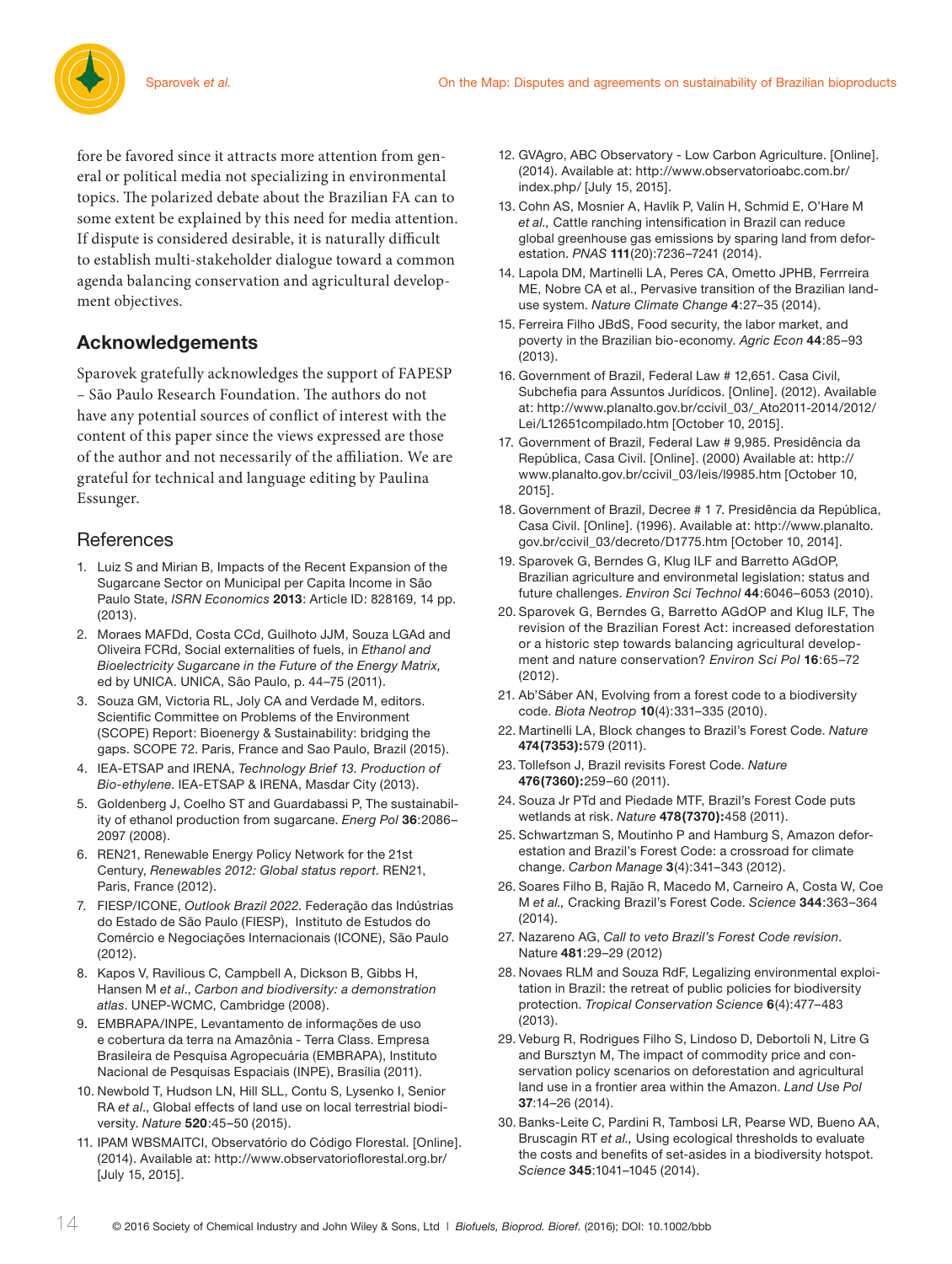

fore be favored since it attracts more attention from general or political media not specializing in environmental topics. The polarized debate about the Brazilian FA can to some extent be explained by this need for media attention. If dispute is considered desirable, it is naturally difficult to establish multi-stakeholder dialogue toward a common agenda balancing conservation and agricultural development objectives.

# **Acknowledgements**

Sparovek gratefully acknowledges the support of FAPESP – São Paulo Research Foundation. The authors do not have any potential sources of conflict of interest with the content of this paper since the views expressed are those of the author and not necessarily of the affiliation. We are grateful for technical and language editing by Paulina Essunger.

## **References**

- 1. Luiz S and Mirian B, Impacts of the Recent Expansion of the Sugarcane Sector on Municipal per Capita Income in São Paulo State, *ISRN Economics* **2013**: Article ID: 828169, 14 pp. (2013).
- 2. Moraes MAFDd, Costa CCd, Guilhoto JJM, Souza LGAd and Oliveira FCRd, Social externalities of fuels, in *Ethanol and Bioelectricity Sugarcane in the Future of the Energy Matrix,* ed by UNICA. UNICA, São Paulo, p. 44–75 (2011).
- 3. Souza GM, Victoria RL, Joly CA and Verdade M, editors. Scientific Committee on Problems of the Environment (SCOPE) Report: Bioenergy & Sustainability: bridging the gaps. SCOPE 72. Paris, France and Sao Paulo, Brazil (2015).
- 4. IEA-ETSAP and IRENA, *Technology Brief 13. Production of Bio-ethylene*. IEA-ETSAP & IRENA, Masdar City (2013).
- 5. Goldenberg J, Coelho ST and Guardabassi P, The sustainability of ethanol production from sugarcane. *Energ Pol* **36**:2086– 2097 (2008).
- 6. REN21, Renewable Energy Policy Network for the 21st Century, *Renewables 2012: Global status report*. REN21, Paris, France (2012).
- 7. FIESP/ICONE, *Outlook Brazil 2022*. Federação das Indústrias do Estado de São Paulo (FIESP), Instituto de Estudos do Comércio e Negociações Internacionais (ICONE), São Paulo (2012).
- 8. Kapos V, Ravilious C, Campbell A, Dickson B, Gibbs H, Hansen M *et al*., *Carbon and biodiversity: a demonstration atlas*. UNEP-WCMC, Cambridge (2008).
- 9. EMBRAPA/INPE, Levantamento de informações de uso e cobertura da terra na Amazônia - Terra Class. Empresa Brasileira de Pesquisa Agropecuária (EMBRAPA), Instituto Nacional de Pesquisas Espaciais (INPE), Brasília (2011).
- 10. Newbold T, Hudson LN, Hill SLL, Contu S, Lysenko I, Senior RA *et al*., Global effects of land use on local terrestrial biodiversity. *Nature* **520**:45–50 (2015).
- 11. IPAM WBSMAITCI, Observatório do Código Florestal. [Online]. (2014). Available at: http://www.observatorioflorestal.org.br/ [July 15, 2015].
- 12. GVAgro, ABC Observatory Low Carbon Agriculture. [Online]. (2014). Available at: http://www.observatorioabc.com.br/ index.php/ [July 15, 2015].
- 13. Cohn AS, Mosnier A, Havlík P, Valin H, Schmid E, O'Hare M et al., Cattle ranching intensification in Brazil can reduce global greenhouse gas emissions by sparing land from deforestation. *PNAS* **111**(20):7236–7241 (2014).
- 14. Lapola DM, Martinelli LA, Peres CA, Ometto JPHB, Ferrreira ME, Nobre CA et al., Pervasive transition of the Brazilian landuse system. *Nature Climate Change* **4**:27–35 (2014).
- 15. Ferreira Filho JBdS, Food security, the labor market, and poverty in the Brazilian bio-economy. *Agric Econ* **44**:85–93 (2013).
- 16. Government of Brazil, Federal Law # 12,651. Casa Civil, Subchefia para Assuntos Jurídicos. [Online]. (2012). Available at: http://www.planalto.gov.br/ccivil\_03/\_Ato2011-2014/2012/ Lei/L12651compilado.htm [October 10, 2015].
- 17. Government of Brazil, Federal Law # 9,985. Presidência da República, Casa Civil. [Online]. (2000) Available at: http:// www.planalto.gov.br/ccivil\_03/leis/l9985.htm [October 10, 2015].
- 18. Government of Brazil, Decree # 1 7. Presidência da República, Casa Civil. [Online]. (1996). Available at: http://www.planalto. gov.br/ccivil\_03/decreto/D1775.htm [October 10, 2014].
- 19. Sparovek G, Berndes G, Klug ILF and Barretto AGdOP, Brazilian agriculture and environmetal legislation: status and future challenges. *Environ Sci Technol* **44**:6046–6053 (2010).
- 20. Sparovek G, Berndes G, Barretto AGdOP and Klug ILF, The revision of the Brazilian Forest Act: increased deforestation or a historic step towards balancing agricultural development and nature conservation? *Environ Sci Pol* **16**:65–72 (2012).
- 21. Ab'Sáber AN, Evolving from a forest code to a biodiversity code. *Biota Neotrop* **10**(4):331*–*335 (2010).
- 22. Martinelli LA, Block changes to Brazil's Forest Code. *Nature* **474(7353):**579 (2011).
- 23. Tollefson J, Brazil revisits Forest Code. *Nature* **476(7360):**259–60 (2011).
- 24. Souza Jr PTd and Piedade MTF, Brazil's Forest Code puts wetlands at risk. *Nature* **478(7370):**458 (2011).
- 25. Schwartzman S, Moutinho P and Hamburg S, Amazon deforestation and Brazil's Forest Code: a crossroad for climate change. *Carbon Manage* **3**(4):341–343 (2012).
- 26. Soares Filho B, Rajão R, Macedo M, Carneiro A, Costa W, Coe M *et al.,* Cracking Brazil's Forest Code. *Science* **344**:363–364 (2014).
- 27. Nazareno AG, *Call to veto Brazil's Forest Code revision*. Nature **481**:29–29 (2012)
- 28. Novaes RLM and Souza RdF, Legalizing environmental exploitation in Brazil: the retreat of public policies for biodiversity protection. *Tropical Conservation Science* **6**(4):477–483 (2013).
- 29. Veburg R, Rodrigues Filho S, Lindoso D, Debortoli N, Litre G and Bursztyn M, The impact of commodity price and conservation policy scenarios on deforestation and agricultural land use in a frontier area within the Amazon. *Land Use Pol* **37**:14–26 (2014).
- 30. Banks-Leite C, Pardini R, Tambosi LR, Pearse WD, Bueno AA, Bruscagin RT *et al.,* Using ecological thresholds to evaluate the costs and benefits of set-asides in a biodiversity hotspot. *Science* **345**:1041–1045 (2014).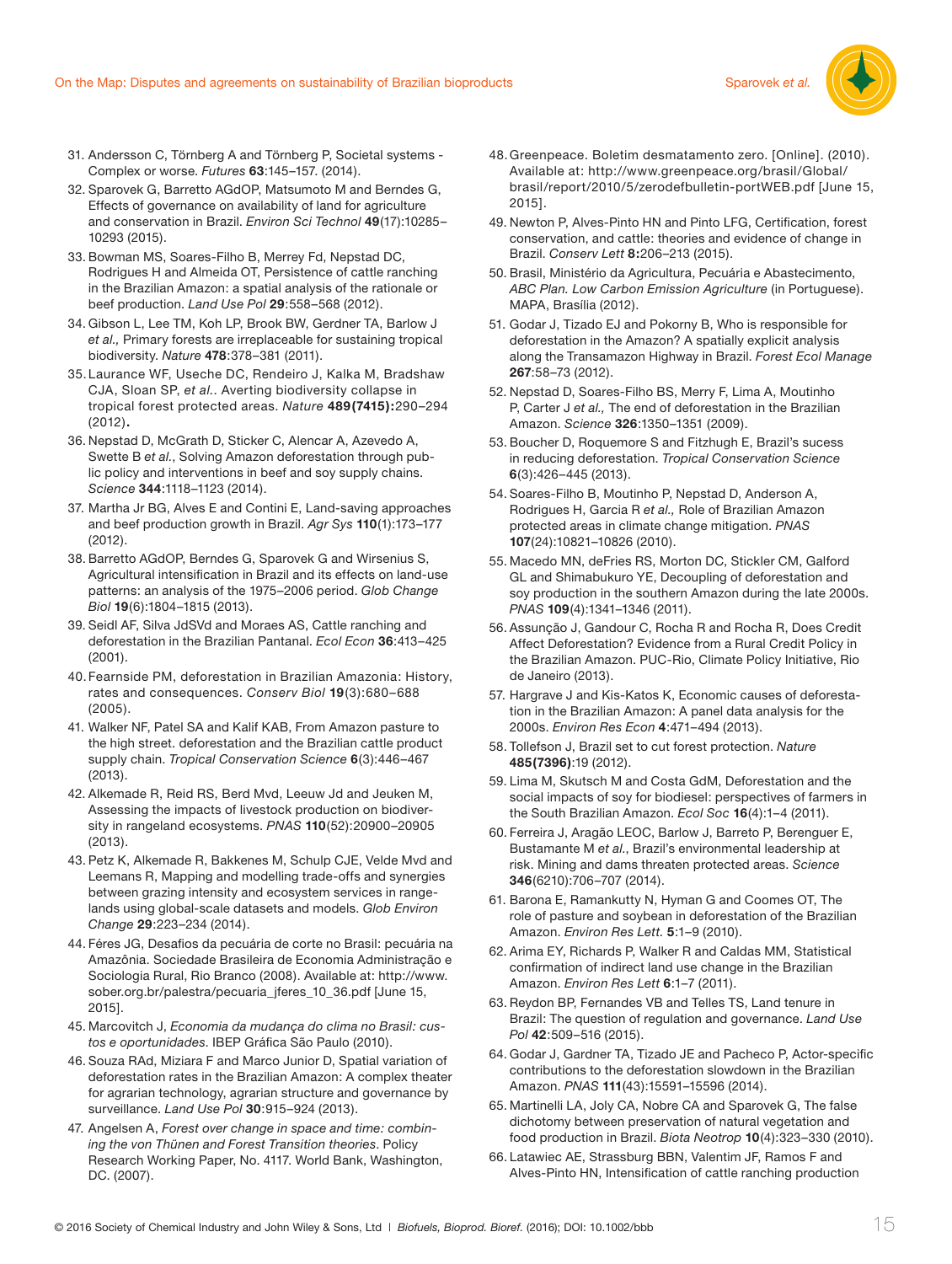

- 31. Andersson C, Törnberg A and Törnberg P, Societal systems Complex or worse. *Futures* **63**:145–157. (2014).
- 32. Sparovek G, Barretto AGdOP, Matsumoto M and Berndes G, Effects of governance on availability of land for agriculture and conservation in Brazil. *Environ Sci Technol* **49**(17):10285– 10293 (2015).
- 33. Bowman MS, Soares-Filho B, Merrey Fd, Nepstad DC, Rodrigues H and Almeida OT, Persistence of cattle ranching in the Brazilian Amazon: a spatial analysis of the rationale or beef production. *Land Use Pol* **29**:558–568 (2012).
- 34. Gibson L, Lee TM, Koh LP, Brook BW, Gerdner TA, Barlow J *et al.,* Primary forests are irreplaceable for sustaining tropical biodiversity. *Nature* **478**:378–381 (2011).
- 35. Laurance WF, Useche DC, Rendeiro J, Kalka M, Bradshaw CJA, Sloan SP, *et al.*. Averting biodiversity collapse in tropical forest protected areas. *Nature* **489(7415):**290–294 (2012)**.**
- 36. Nepstad D, McGrath D, Sticker C, Alencar A, Azevedo A, Swette B *et al.*, Solving Amazon deforestation through public policy and interventions in beef and soy supply chains. *Science* **344**:1118–1123 (2014).
- 37. Martha Jr BG, Alves E and Contini E, Land-saving approaches and beef production growth in Brazil. *Agr Sys* **110**(1):173–177 (2012).
- 38. Barretto AGdOP, Berndes G, Sparovek G and Wirsenius S, Agricultural intensification in Brazil and its effects on land-use patterns: an analysis of the 1975–2006 period. *Glob Change Biol* **19**(6):1804–1815 (2013).
- 39. Seidl AF, Silva JdSVd and Moraes AS, Cattle ranching and deforestation in the Brazilian Pantanal. *Ecol Econ* **36**:413–425 (2001).
- 40. Fearnside PM, deforestation in Brazilian Amazonia: History, rates and consequences. *Conserv Biol* **19**(3):680–688 (2005).
- 41. Walker NF, Patel SA and Kalif KAB, From Amazon pasture to the high street. deforestation and the Brazilian cattle product supply chain. *Tropical Conservation Science* **6**(3):446–467 (2013).
- 42. Alkemade R, Reid RS, Berd Mvd, Leeuw Jd and Jeuken M, Assessing the impacts of livestock production on biodiversity in rangeland ecosystems. *PNAS* **110**(52):20900–20905 (2013).
- 43. Petz K, Alkemade R, Bakkenes M, Schulp CJE, Velde Mvd and Leemans R, Mapping and modelling trade-offs and synergies between grazing intensity and ecosystem services in rangelands using global-scale datasets and models. *Glob Environ Change* **29**:223–234 (2014).
- 44. Féres JG, Desafios da pecuária de corte no Brasil: pecuária na Amazônia. Sociedade Brasileira de Economia Administração e Sociologia Rural, Rio Branco (2008). Available at: http://www. sober.org.br/palestra/pecuaria\_jferes\_10\_36.pdf [June 15, 2015].
- 45. Marcovitch J, *Economia da mudança do clima no Brasil: cus*tos e oportunidades. IBEP Gráfica São Paulo (2010).
- 46. Souza RAd, Miziara F and Marco Junior D, Spatial variation of deforestation rates in the Brazilian Amazon: A complex theater for agrarian technology, agrarian structure and governance by surveillance. *Land Use Pol* **30**:915–924 (2013).
- 47. Angelsen A, *Forest over change in space and time: combining the von Thünen and Forest Transition theories*. Policy Research Working Paper, No. 4117. World Bank, Washington, DC. (2007).
- 48. Greenpeace. Boletim desmatamento zero. [Online]. (2010). Available at: http://www.greenpeace.org/brasil/Global/ brasil/report/2010/5/zerodefbulletin-portWEB.pdf [June 15, 2015].
- 49. Newton P, Alves-Pinto HN and Pinto LFG, Certification, forest conservation, and cattle: theories and evidence of change in Brazil. *Conserv Lett* **8:**206–213 (2015).
- 50. Brasil, Ministério da Agricultura, Pecuária e Abastecimento, *ABC Plan. Low Carbon Emission Agriculture* (in Portuguese). MAPA, Brasília (2012).
- 51. Godar J, Tizado EJ and Pokorny B, Who is responsible for deforestation in the Amazon? A spatially explicit analysis along the Transamazon Highway in Brazil. *Forest Ecol Manage*  **267**:58–73 (2012).
- 52. Nepstad D, Soares-Filho BS, Merry F, Lima A, Moutinho P, Carter J *et al.,* The end of deforestation in the Brazilian Amazon. *Science* **326**:1350–1351 (2009).
- 53. Boucher D, Roquemore S and Fitzhugh E, Brazil's sucess in reducing deforestation. *Tropical Conservation Science* **6**(3):426–445 (2013).
- 54. Soares-Filho B, Moutinho P, Nepstad D, Anderson A, Rodrigues H, Garcia R *et al.,* Role of Brazilian Amazon protected areas in climate change mitigation. *PNAS* **107**(24):10821–10826 (2010).
- 55. Macedo MN, deFries RS, Morton DC, Stickler CM, Galford GL and Shimabukuro YE, Decoupling of deforestation and soy production in the southern Amazon during the late 2000s. *PNAS* **109**(4):1341–1346 (2011).
- 56. Assunção J, Gandour C, Rocha R and Rocha R, Does Credit Affect Deforestation? Evidence from a Rural Credit Policy in the Brazilian Amazon. PUC-Rio, Climate Policy Initiative, Rio de Janeiro (2013).
- 57. Hargrave J and Kis-Katos K, Economic causes of deforestation in the Brazilian Amazon: A panel data analysis for the 2000s. *Environ Res Econ* **4**:471–494 (2013).
- 58. Tollefson J, Brazil set to cut forest protection. *Nature*  **485(7396)**:19 (2012).
- 59. Lima M, Skutsch M and Costa GdM, Deforestation and the social impacts of soy for biodiesel: perspectives of farmers in the South Brazilian Amazon. *Ecol Soc* **16**(4):1–4 (2011).
- 60. Ferreira J, Aragão LEOC, Barlow J, Barreto P, Berenguer E, Bustamante M *et al.*, Brazil's environmental leadership at risk. Mining and dams threaten protected areas. *Science* **346**(6210):706–707 (2014).
- 61. Barona E, Ramankutty N, Hyman G and Coomes OT, The role of pasture and soybean in deforestation of the Brazilian Amazon. *Environ Res Lett.* **5**:1–9 (2010).
- 62. Arima EY, Richards P, Walker R and Caldas MM, Statistical confirmation of indirect land use change in the Brazilian Amazon. *Environ Res Lett* **6**:1–7 (2011).
- 63. Reydon BP, Fernandes VB and Telles TS, Land tenure in Brazil: The question of regulation and governance. *Land Use Pol* **42**:509–516 (2015).
- 64. Godar J, Gardner TA, Tizado JE and Pacheco P, Actor-specific contributions to the deforestation slowdown in the Brazilian Amazon. *PNAS* **111**(43):15591–15596 (2014).
- 65. Martinelli LA, Joly CA, Nobre CA and Sparovek G, The false dichotomy between preservation of natural vegetation and food production in Brazil. *Biota Neotrop* **10**(4):323–330 (2010).
- 66. Latawiec AE, Strassburg BBN, Valentim JF, Ramos F and Alves-Pinto HN, Intensification of cattle ranching production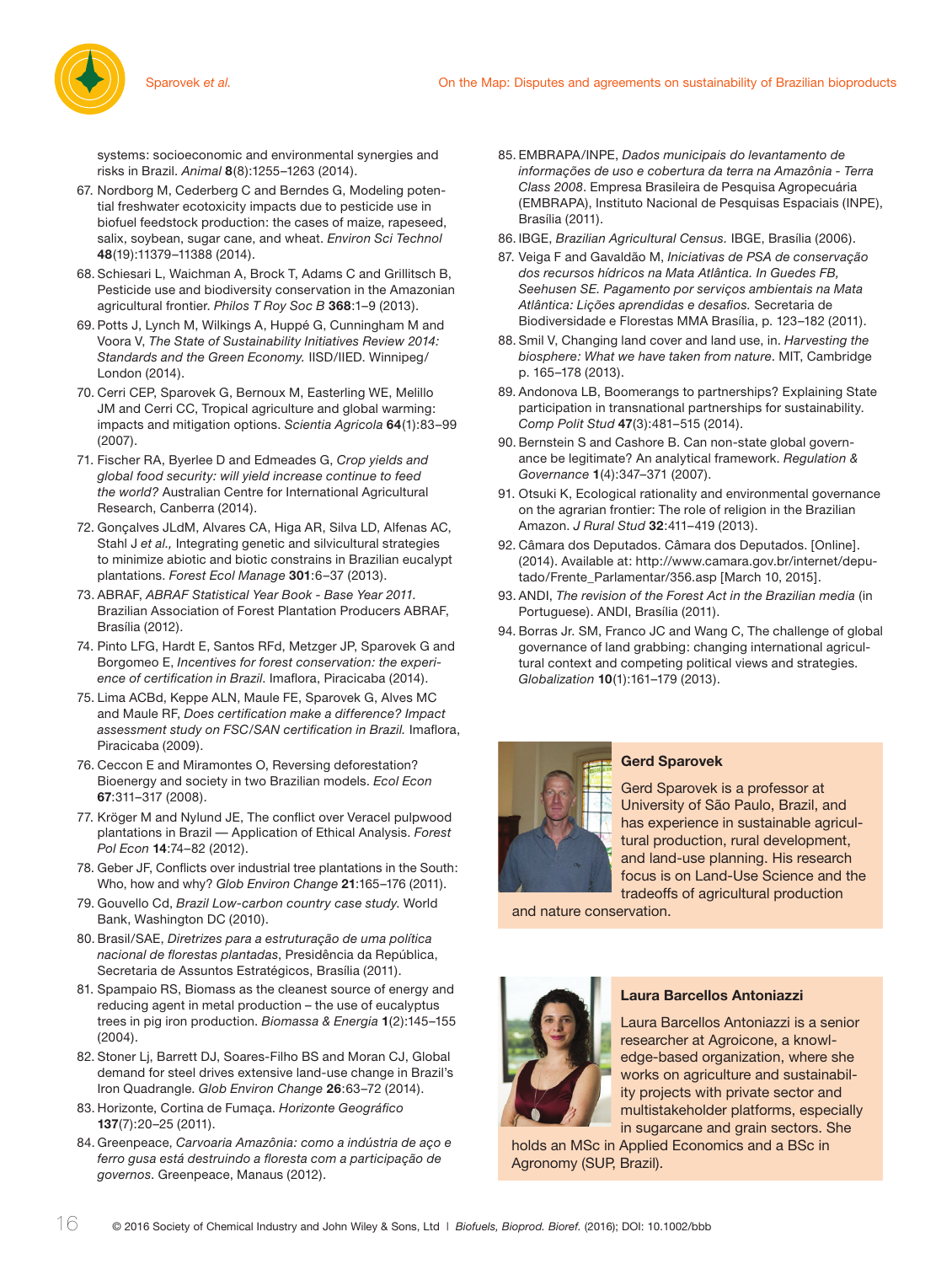

systems: socioeconomic and environmental synergies and risks in Brazil. *Animal* **8**(8):1255–1263 (2014).

- 67. Nordborg M, Cederberg C and Berndes G, Modeling potential freshwater ecotoxicity impacts due to pesticide use in biofuel feedstock production: the cases of maize, rapeseed, salix, soybean, sugar cane, and wheat. *Environ Sci Technol* **48**(19):11379–11388 (2014).
- 68. Schiesari L, Waichman A, Brock T, Adams C and Grillitsch B, Pesticide use and biodiversity conservation in the Amazonian agricultural frontier. *Philos T Roy Soc B* **368**:1–9 (2013).
- 69. Potts J, Lynch M, Wilkings A, Huppé G, Cunningham M and Voora V, *The State of Sustainability Initiatives Review 2014: Standards and the Green Economy.* IISD/IIED. Winnipeg/ London (2014).
- 70. Cerri CEP, Sparovek G, Bernoux M, Easterling WE, Melillo JM and Cerri CC, Tropical agriculture and global warming: impacts and mitigation options. *Scientia Agricola* **64**(1):83–99 (2007).
- 71. Fischer RA, Byerlee D and Edmeades G, *Crop yields and global food security: will yield increase continue to feed the world?* Australian Centre for International Agricultural Research, Canberra (2014).
- 72. Gonçalves JLdM, Alvares CA, Higa AR, Silva LD, Alfenas AC, Stahl J *et al.,* Integrating genetic and silvicultural strategies to minimize abiotic and biotic constrains in Brazilian eucalypt plantations. *Forest Ecol Manage* **301**:6–37 (2013).
- 73. ABRAF, *ABRAF Statistical Year Book Base Year 2011*. Brazilian Association of Forest Plantation Producers ABRAF, Brasília (2012).
- 74. Pinto LFG, Hardt E, Santos RFd, Metzger JP, Sparovek G and Borgomeo E, *Incentives for forest conservation: the experience of certification in Brazil.* Imaflora, Piracicaba (2014).
- 75. Lima ACBd, Keppe ALN, Maule FE, Sparovek G, Alves MC and Maule RF, Does certification make a difference? Impact assessment study on FSC/SAN certification in Brazil. Imaflora, Piracicaba (2009).
- 76. Ceccon E and Miramontes O, Reversing deforestation? Bioenergy and society in two Brazilian models. *Ecol Econ* **67**:311–317 (2008).
- 77. Kröger M and Nylund JE, The conflict over Veracel pulpwood plantations in Brazil — Application of Ethical Analysis. *Forest Pol Econ* **14**:74–82 (2012).
- 78. Geber JF, Conflicts over industrial tree plantations in the South: Who, how and why? *Glob Environ Change* **21**:165–176 (2011).
- 79. Gouvello Cd, *Brazil Low-carbon country case study*. World Bank, Washington DC (2010).
- 80. Brasil/SAE, *Diretrizes para a estruturação de uma política nacional de fl orestas plantadas*, Presidência da República, Secretaria de Assuntos Estratégicos, Brasília (2011).
- 81. Spampaio RS, Biomass as the cleanest source of energy and reducing agent in metal production – the use of eucalyptus trees in pig iron production. *Biomassa & Energia* **1**(2):145–155 (2004).
- 82. Stoner Lj, Barrett DJ, Soares-Filho BS and Moran CJ, Global demand for steel drives extensive land-use change in Brazil's Iron Quadrangle. *Glob Environ Change* **26**:63–72 (2014).
- 83. Horizonte, Cortina de Fumaça. *Horizonte Geográfi co* **137**(7):20–25 (2011).
- 84. Greenpeace, *Carvoaria Amazônia: como a indústria de aço e*  ferro qusa está destruindo a floresta com a participação de *governos*. Greenpeace, Manaus (2012).
- 85. EMBRAPA/INPE, *Dados municipais do levantamento de informações de uso e cobertura da terra na Amazônia - Terra Class 2008*. Empresa Brasileira de Pesquisa Agropecuária (EMBRAPA), Instituto Nacional de Pesquisas Espaciais (INPE), Brasília (2011).
- 86. IBGE, *Brazilian Agricultural Census.* IBGE, Brasília (2006).
- 87. Veiga F and Gavaldão M, *Iniciativas de PSA de conservação dos recursos hídricos na Mata Atlântica. In Guedes FB, Seehusen SE. Pagamento por serviços ambientais na Mata*  Atlântica: Lições aprendidas e desafios. Secretaria de Biodiversidade e Florestas MMA Brasília, p. 123–182 (2011).
- 88. Smil V, Changing land cover and land use, in. *Harvesting the biosphere: What we have taken from nature*. MIT, Cambridge p. 165–178 (2013).
- 89. Andonova LB, Boomerangs to partnerships? Explaining State participation in transnational partnerships for sustainability. *Comp Polit Stud* **47**(3):481–515 (2014).
- 90. Bernstein S and Cashore B. Can non-state global governance be legitimate? An analytical framework. *Regulation & Governance* **1**(4):347–371 (2007).
- 91. Otsuki K, Ecological rationality and environmental governance on the agrarian frontier: The role of religion in the Brazilian Amazon. *J Rural Stud* **32**:411–419 (2013).
- 92. Câmara dos Deputados. Câmara dos Deputados. [Online]. (2014). Available at: http://www.camara.gov.br/internet/deputado/Frente\_Parlamentar/356.asp [March 10, 2015].
- 93. ANDI, *The revision of the Forest Act in the Brazilian media* (in Portuguese). ANDI, Brasília (2011).
- 94. Borras Jr. SM, Franco JC and Wang C, The challenge of global governance of land grabbing: changing international agricultural context and competing political views and strategies. *Globalization* **10**(1):161–179 (2013).



## **Gerd Sparovek**

Gerd Sparovek is a professor at University of São Paulo, Brazil, and has experience in sustainable agricultural production, rural development, and land-use planning. His research focus is on Land-Use Science and the tradeoffs of agricultural production

and nature conservation.



## **Laura Barcellos Antoniazzi**

Laura Barcellos Antoniazzi is a senior researcher at Agroicone, a knowledge-based organization, where she works on agriculture and sustainability projects with private sector and multistakeholder platforms, especially in sugarcane and grain sectors. She

holds an MSc in Applied Economics and a BSc in Agronomy (SUP, Brazil).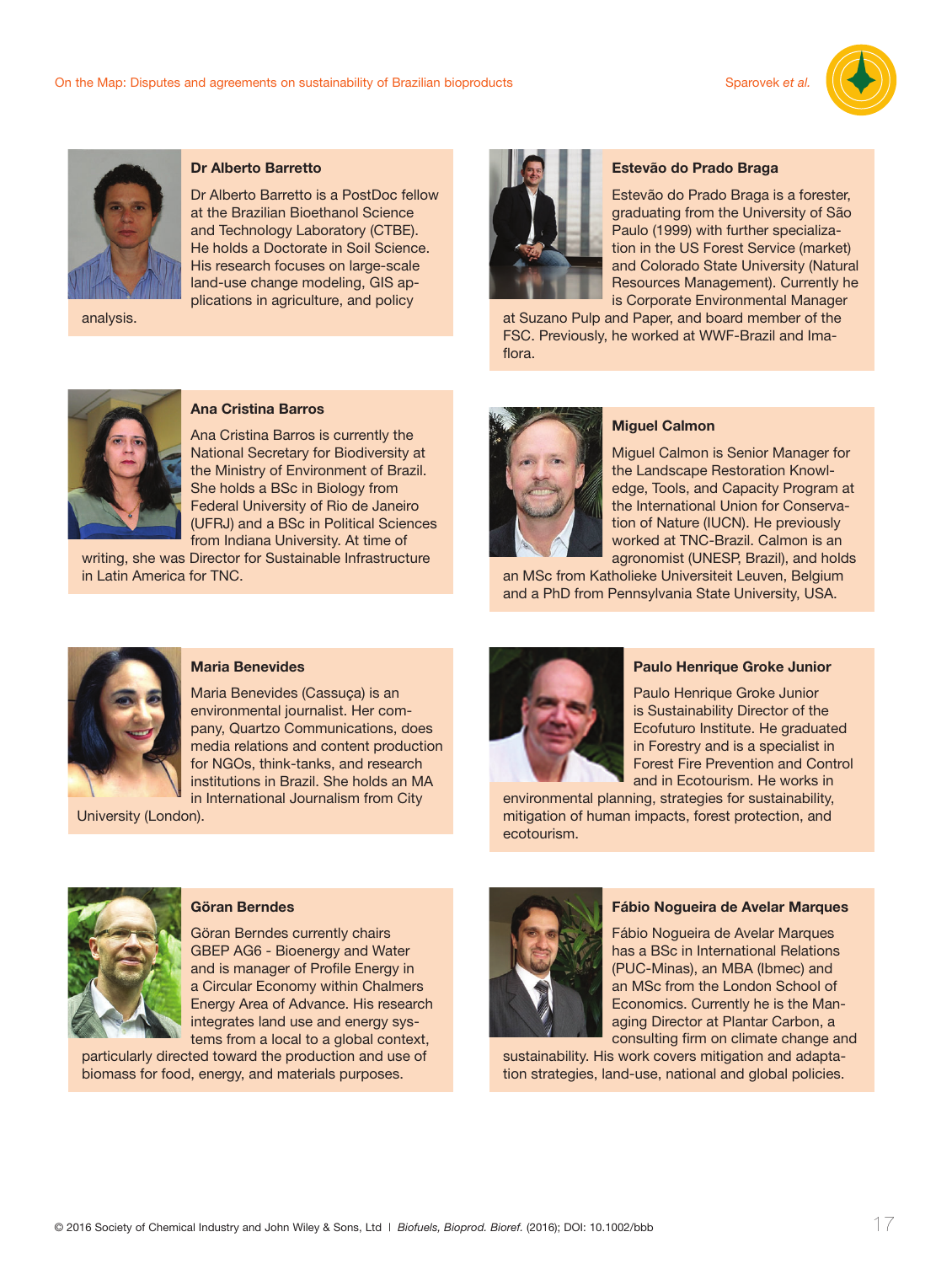



analysis.

## **Dr Alberto Barretto**

Dr Alberto Barretto is a PostDoc fellow at the Brazilian Bioethanol Science and Technology Laboratory (CTBE). He holds a Doctorate in Soil Science. His research focuses on large-scale land-use change modeling, GIS applications in agriculture, and policy



#### **Estevão do Prado Braga**

Estevão do Prado Braga is a forester, graduating from the University of São Paulo (1999) with further specialization in the US Forest Service (market) and Colorado State University (Natural Resources Management). Currently he is Corporate Environmental Manager

at Suzano Pulp and Paper, and board member of the FSC. Previously, he worked at WWF-Brazil and Imaflora.



## **Ana Cristina Barros**

Ana Cristina Barros is currently the National Secretary for Biodiversity at the Ministry of Environment of Brazil. She holds a BSc in Biology from Federal University of Rio de Janeiro (UFRJ) and a BSc in Political Sciences from Indiana University. At time of writing, she was Director for Sustainable Infrastructure

in Latin America for TNC.



### **Miguel Calmon**

Miguel Calmon is Senior Manager for the Landscape Restoration Knowledge, Tools, and Capacity Program at the International Union for Conservation of Nature (IUCN). He previously worked at TNC-Brazil. Calmon is an agronomist (UNESP, Brazil), and holds

an MSc from Katholieke Universiteit Leuven, Belgium and a PhD from Pennsylvania State University, USA.



#### **Maria Benevides**

Maria Benevides (Cassuça) is an environmental journalist. Her company, Quartzo Communications, does media relations and content production for NGOs, think-tanks, and research institutions in Brazil. She holds an MA in International Journalism from City

University (London).



#### **Paulo Henrique Groke Junior**

Paulo Henrique Groke Junior is Sustainability Director of the Ecofuturo Institute. He graduated in Forestry and is a specialist in Forest Fire Prevention and Control and in Ecotourism. He works in

environmental planning, strategies for sustainability, mitigation of human impacts, forest protection, and ecotourism.



### **Göran Berndes**

Göran Berndes currently chairs GBEP AG6 - Bioenergy and Water and is manager of Profile Energy in a Circular Economy within Chalmers Energy Area of Advance. His research integrates land use and energy systems from a local to a global context,

particularly directed toward the production and use of biomass for food, energy, and materials purposes.



#### **Fábio Nogueira de Avelar Marques**

Fábio Nogueira de Avelar Marques has a BSc in International Relations (PUC-Minas), an MBA (Ibmec) and an MSc from the London School of Economics. Currently he is the Managing Director at Plantar Carbon, a consulting firm on climate change and

sustainability. His work covers mitigation and adaptation strategies, land-use, national and global policies.